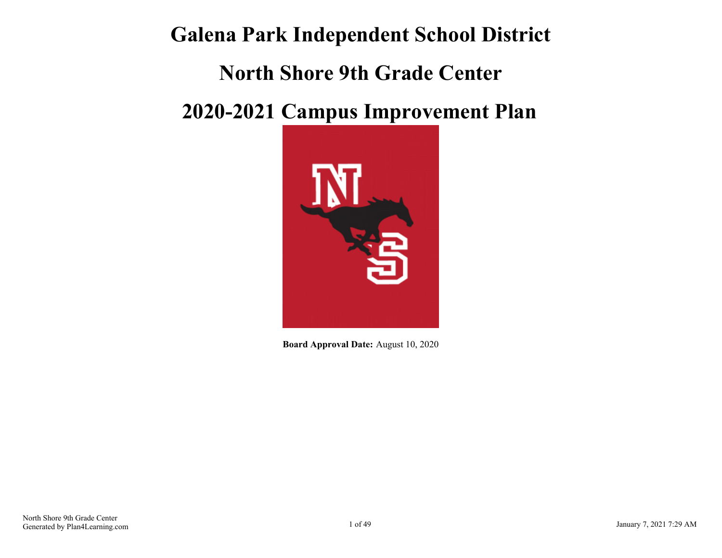# **Galena Park Independent School District**

# **North Shore 9th Grade Center**

# **2020-2021 Campus Improvement Plan**



**Board Approval Date:** August 10, 2020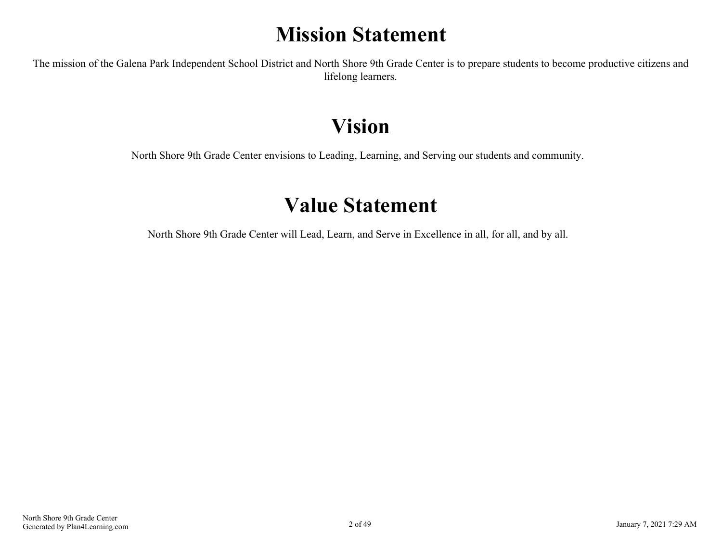# **Mission Statement**

<span id="page-1-0"></span>The mission of the Galena Park Independent School District and North Shore 9th Grade Center is to prepare students to become productive citizens and lifelong learners.

# **Vision**

North Shore 9th Grade Center envisions to Leading, Learning, and Serving our students and community.

# **Value Statement**

North Shore 9th Grade Center will Lead, Learn, and Serve in Excellence in all, for all, and by all.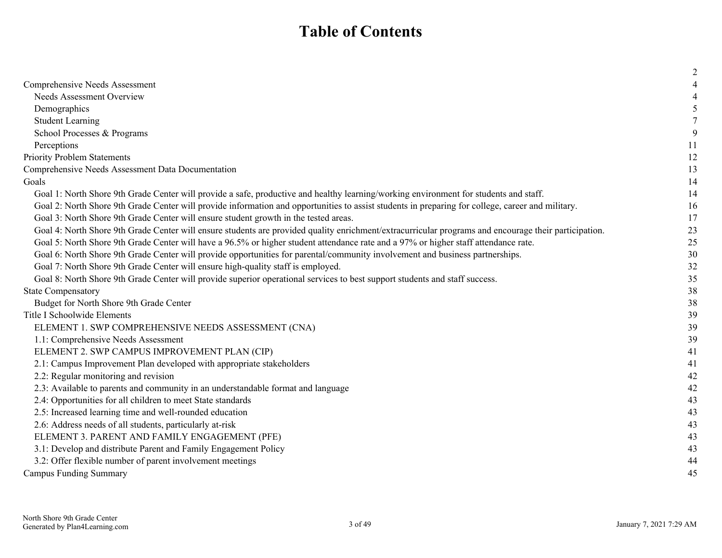# **Table of Contents**

|                                                                                                                                                       | $\overline{2}$ |
|-------------------------------------------------------------------------------------------------------------------------------------------------------|----------------|
| Comprehensive Needs Assessment                                                                                                                        |                |
| <b>Needs Assessment Overview</b>                                                                                                                      | 4              |
| Demographics                                                                                                                                          | 5              |
| <b>Student Learning</b>                                                                                                                               |                |
| School Processes & Programs                                                                                                                           | 9              |
| Perceptions                                                                                                                                           | 11             |
| <b>Priority Problem Statements</b>                                                                                                                    | 12             |
| Comprehensive Needs Assessment Data Documentation                                                                                                     | 13             |
| Goals                                                                                                                                                 | 14             |
| Goal 1: North Shore 9th Grade Center will provide a safe, productive and healthy learning/working environment for students and staff.                 | 14             |
| Goal 2: North Shore 9th Grade Center will provide information and opportunities to assist students in preparing for college, career and military.     | 16             |
| Goal 3: North Shore 9th Grade Center will ensure student growth in the tested areas.                                                                  | 17             |
| Goal 4: North Shore 9th Grade Center will ensure students are provided quality enrichment/extracurricular programs and encourage their participation. | 23             |
| Goal 5: North Shore 9th Grade Center will have a 96.5% or higher student attendance rate and a 97% or higher staff attendance rate.                   | 25             |
| Goal 6: North Shore 9th Grade Center will provide opportunities for parental/community involvement and business partnerships.                         | 30             |
| Goal 7: North Shore 9th Grade Center will ensure high-quality staff is employed.                                                                      | 32             |
| Goal 8: North Shore 9th Grade Center will provide superior operational services to best support students and staff success.                           | 35             |
| <b>State Compensatory</b>                                                                                                                             | 38             |
| Budget for North Shore 9th Grade Center                                                                                                               | 38             |
| Title I Schoolwide Elements                                                                                                                           | 39             |
| ELEMENT 1. SWP COMPREHENSIVE NEEDS ASSESSMENT (CNA)                                                                                                   | 39             |
| 1.1: Comprehensive Needs Assessment                                                                                                                   | 39             |
| ELEMENT 2. SWP CAMPUS IMPROVEMENT PLAN (CIP)                                                                                                          | 41             |
| 2.1: Campus Improvement Plan developed with appropriate stakeholders                                                                                  | 41             |
| 2.2: Regular monitoring and revision                                                                                                                  | 42             |
| 2.3: Available to parents and community in an understandable format and language                                                                      | 42             |
| 2.4: Opportunities for all children to meet State standards                                                                                           | 43             |
| 2.5: Increased learning time and well-rounded education                                                                                               | 43             |
| 2.6: Address needs of all students, particularly at-risk                                                                                              | 43             |
| ELEMENT 3. PARENT AND FAMILY ENGAGEMENT (PFE)                                                                                                         | 43             |
| 3.1: Develop and distribute Parent and Family Engagement Policy                                                                                       | 43             |
| 3.2: Offer flexible number of parent involvement meetings                                                                                             | 44             |
| <b>Campus Funding Summary</b>                                                                                                                         | 45             |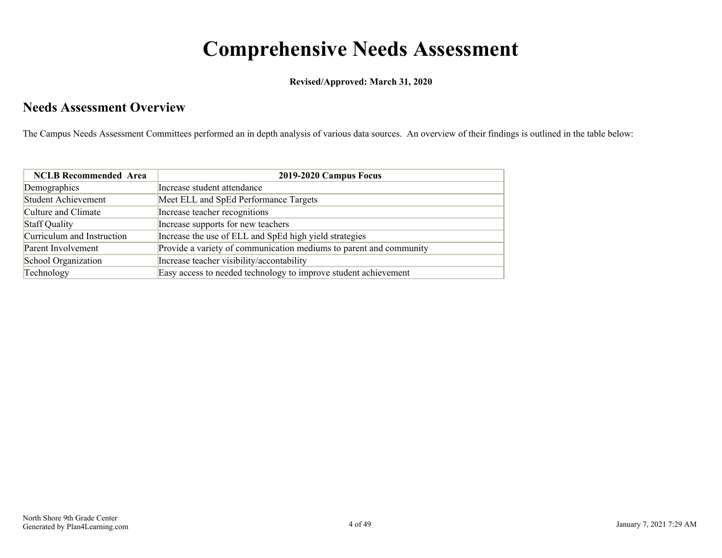# **Comprehensive Needs Assessment**

**Revised/Approved: March 31, 2020**

### <span id="page-3-0"></span>**Needs Assessment Overview**

The Campus Needs Assessment Committees performed an in depth analysis of various data sources. An overview of their findings is outlined in the table below:

| <b>NCLB</b> Recommended Area | 2019-2020 Campus Focus                                             |
|------------------------------|--------------------------------------------------------------------|
| Demographics                 | Increase student attendance                                        |
| Student Achievement          | Meet ELL and SpEd Performance Targets                              |
| Culture and Climate          | Increase teacher recognitions                                      |
| Staff Quality                | Increase supports for new teachers                                 |
| Curriculum and Instruction   | Increase the use of ELL and SpEd high yield strategies             |
| Parent Involvement           | Provide a variety of communication mediums to parent and community |
| School Organization          | Increase teacher visibility/accontability                          |
| Technology                   | Easy access to needed technology to improve student achievement    |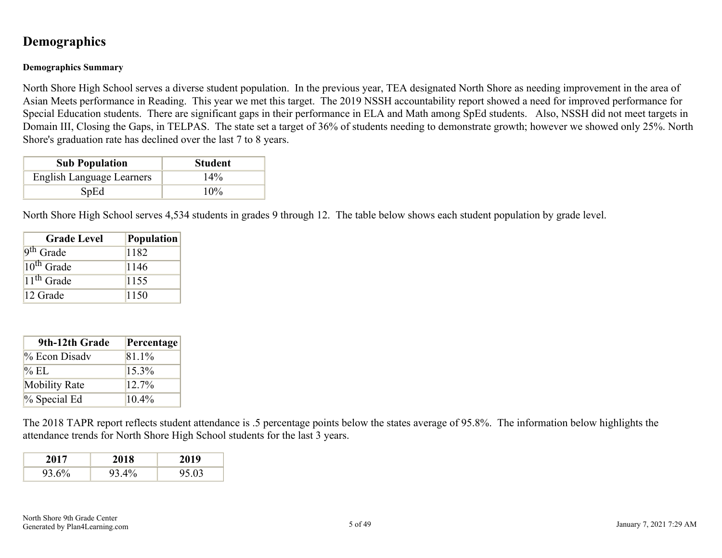### <span id="page-4-0"></span>**Demographics**

#### **Demographics Summary**

North Shore High School serves a diverse student population. In the previous year, TEA designated North Shore as needing improvement in the area of Asian Meets performance in Reading. This year we met this target. The 2019 NSSH accountability report showed a need for improved performance for Special Education students. There are significant gaps in their performance in ELA and Math among SpEd students. Also, NSSH did not meet targets in Domain III, Closing the Gaps, in TELPAS. The state set a target of 36% of students needing to demonstrate growth; however we showed only 25%. North Shore's graduation rate has declined over the last 7 to 8 years.

| <b>Sub Population</b>     | <b>Student</b> |
|---------------------------|----------------|
| English Language Learners | 14%            |
| SpEd                      | $10\%$         |

North Shore High School serves 4,534 students in grades 9 through 12. The table below shows each student population by grade level.

| <b>Grade Level</b>    | Population |
|-----------------------|------------|
| 9 <sup>th</sup> Grade | 1182       |
| $10^{th}$ Grade       | 1146       |
| $11th$ Grade          | 1155       |
| 12 Grade              | 1150       |

| 9th-12th Grade       | Percentage |
|----------------------|------------|
| $\%$ Econ Disadv     | 81.1%      |
| $\%$ EL              | 15.3%      |
| <b>Mobility Rate</b> | $12.7\%$   |
| $%$ Special Ed       | $10.4\%$   |

The 2018 TAPR report reflects student attendance is .5 percentage points below the states average of 95.8%. The information below highlights the attendance trends for North Shore High School students for the last 3 years.

| 2017  | 2018  | 2019  |
|-------|-------|-------|
| 93.6% | 93.4% | 95.03 |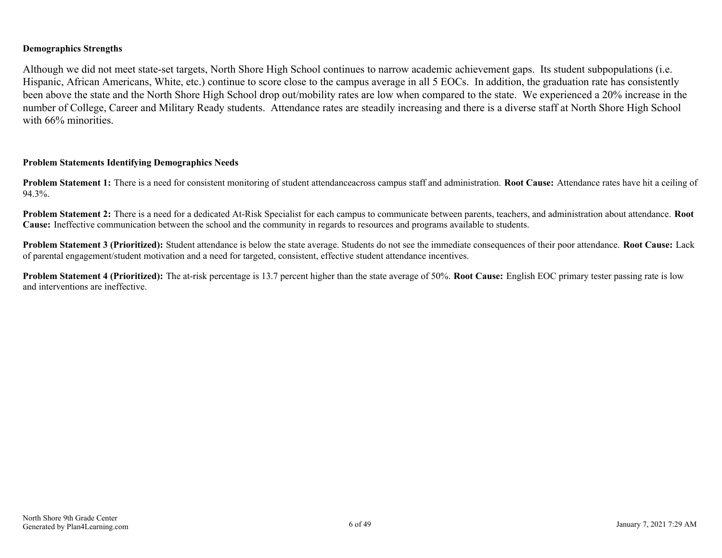#### **Demographics Strengths**

Although we did not meet state-set targets, North Shore High School continues to narrow academic achievement gaps. Its student subpopulations (i.e. Hispanic, African Americans, White, etc.) continue to score close to the campus average in all 5 EOCs. In addition, the graduation rate has consistently been above the state and the North Shore High School drop out/mobility rates are low when compared to the state. We experienced a 20% increase in the number of College, Career and Military Ready students. Attendance rates are steadily increasing and there is a diverse staff at North Shore High School with 66% minorities.

#### **Problem Statements Identifying Demographics Needs**

**Problem Statement 1:** There is a need for consistent monitoring of student attendanceacross campus staff and administration. **Root Cause:** Attendance rates have hit a ceiling of 94.3%.

**Problem Statement 2:** There is a need for a dedicated At-Risk Specialist for each campus to communicate between parents, teachers, and administration about attendance. **Root Cause:** Ineffective communication between the school and the community in regards to resources and programs available to students.

**Problem Statement 3 (Prioritized):** Student attendance is below the state average. Students do not see the immediate consequences of their poor attendance. **Root Cause:** Lack of parental engagement/student motivation and a need for targeted, consistent, effective student attendance incentives.

**Problem Statement 4 (Prioritized):** The at-risk percentage is 13.7 percent higher than the state average of 50%. **Root Cause:** English EOC primary tester passing rate is low and interventions are ineffective.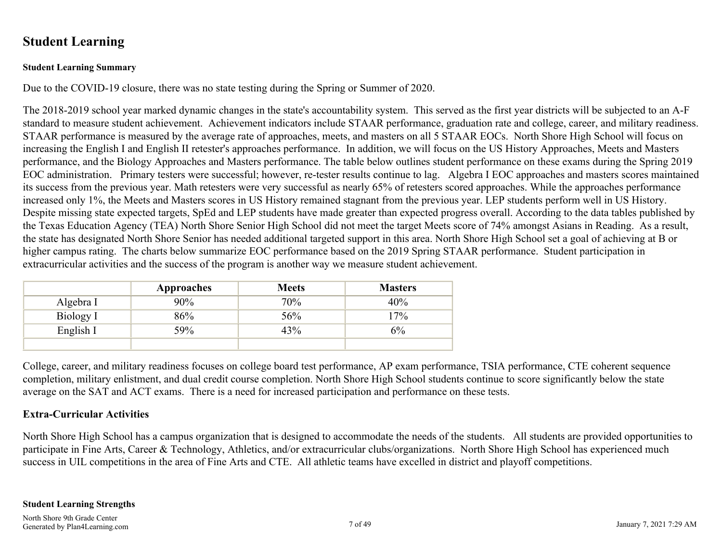### <span id="page-6-0"></span>**Student Learning**

#### **Student Learning Summary**

Due to the COVID-19 closure, there was no state testing during the Spring or Summer of 2020.

The 2018-2019 school year marked dynamic changes in the state's accountability system. This served as the first year districts will be subjected to an A-F standard to measure student achievement. Achievement indicators include STAAR performance, graduation rate and college, career, and military readiness. STAAR performance is measured by the average rate of approaches, meets, and masters on all 5 STAAR EOCs. North Shore High School will focus on increasing the English I and English II retester's approaches performance. In addition, we will focus on the US History Approaches, Meets and Masters performance, and the Biology Approaches and Masters performance. The table below outlines student performance on these exams during the Spring 2019 EOC administration. Primary testers were successful; however, re-tester results continue to lag. Algebra I EOC approaches and masters scores maintained its success from the previous year. Math retesters were very successful as nearly 65% of retesters scored approaches. While the approaches performance increased only 1%, the Meets and Masters scores in US History remained stagnant from the previous year. LEP students perform well in US History. Despite missing state expected targets, SpEd and LEP students have made greater than expected progress overall. According to the data tables published by the Texas Education Agency (TEA) North Shore Senior High School did not meet the target Meets score of 74% amongst Asians in Reading. As a result, the state has designated North Shore Senior has needed additional targeted support in this area. North Shore High School set a goal of achieving at B or higher campus rating. The charts below summarize EOC performance based on the 2019 Spring STAAR performance. Student participation in extracurricular activities and the success of the program is another way we measure student achievement.

|           | Approaches | <b>Meets</b> | <b>Masters</b> |
|-----------|------------|--------------|----------------|
| Algebra I | 90%        | 70%          | 40%            |
| Biology I | 86%        | 56%          | 17%            |
| English I | 59%        | 43%          | 6%             |
|           |            |              |                |

College, career, and military readiness focuses on college board test performance, AP exam performance, TSIA performance, CTE coherent sequence completion, military enlistment, and dual credit course completion. North Shore High School students continue to score significantly below the state average on the SAT and ACT exams. There is a need for increased participation and performance on these tests.

#### **Extra-Curricular Activities**

North Shore High School has a campus organization that is designed to accommodate the needs of the students. All students are provided opportunities to participate in Fine Arts, Career & Technology, Athletics, and/or extracurricular clubs/organizations. North Shore High School has experienced much success in UIL competitions in the area of Fine Arts and CTE. All athletic teams have excelled in district and playoff competitions.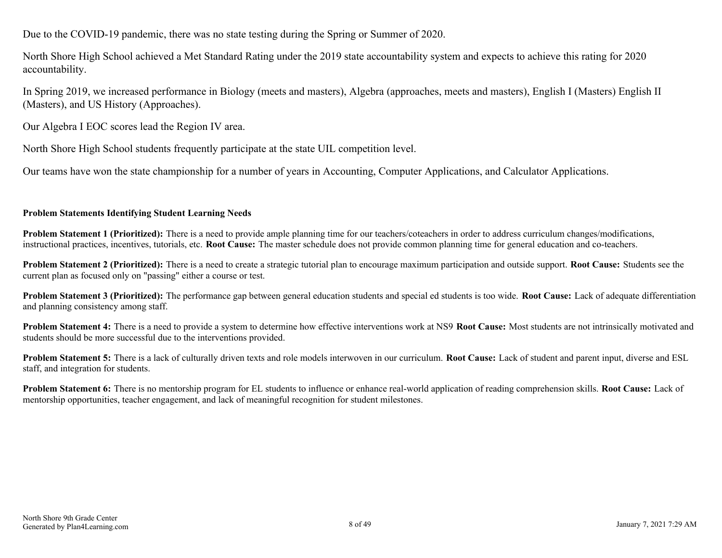Due to the COVID-19 pandemic, there was no state testing during the Spring or Summer of 2020.

North Shore High School achieved a Met Standard Rating under the 2019 state accountability system and expects to achieve this rating for 2020 accountability.

In Spring 2019, we increased performance in Biology (meets and masters), Algebra (approaches, meets and masters), English I (Masters) English II (Masters), and US History (Approaches).

Our Algebra I EOC scores lead the Region IV area.

North Shore High School students frequently participate at the state UIL competition level.

Our teams have won the state championship for a number of years in Accounting, Computer Applications, and Calculator Applications.

#### **Problem Statements Identifying Student Learning Needs**

**Problem Statement 1 (Prioritized):** There is a need to provide ample planning time for our teachers/coteachers in order to address curriculum changes/modifications, instructional practices, incentives, tutorials, etc. **Root Cause:** The master schedule does not provide common planning time for general education and co-teachers.

**Problem Statement 2 (Prioritized):** There is a need to create a strategic tutorial plan to encourage maximum participation and outside support. **Root Cause:** Students see the current plan as focused only on "passing" either a course or test.

**Problem Statement 3 (Prioritized):** The performance gap between general education students and special ed students is too wide. **Root Cause:** Lack of adequate differentiation and planning consistency among staff.

**Problem Statement 4:** There is a need to provide a system to determine how effective interventions work at NS9 **Root Cause:** Most students are not intrinsically motivated and students should be more successful due to the interventions provided.

**Problem Statement 5:** There is a lack of culturally driven texts and role models interwoven in our curriculum. **Root Cause:** Lack of student and parent input, diverse and ESL staff, and integration for students.

**Problem Statement 6:** There is no mentorship program for EL students to influence or enhance real-world application of reading comprehension skills. **Root Cause:** Lack of mentorship opportunities, teacher engagement, and lack of meaningful recognition for student milestones.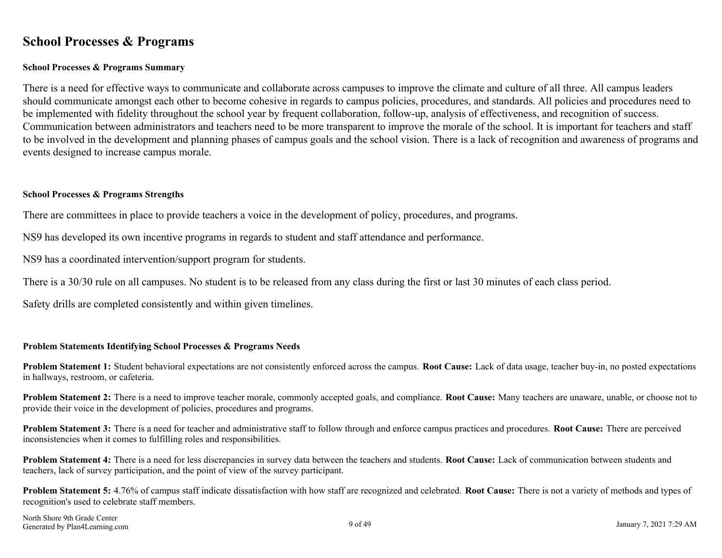### <span id="page-8-0"></span>**School Processes & Programs**

#### **School Processes & Programs Summary**

There is a need for effective ways to communicate and collaborate across campuses to improve the climate and culture of all three. All campus leaders should communicate amongst each other to become cohesive in regards to campus policies, procedures, and standards. All policies and procedures need to be implemented with fidelity throughout the school year by frequent collaboration, follow-up, analysis of effectiveness, and recognition of success. Communication between administrators and teachers need to be more transparent to improve the morale of the school. It is important for teachers and staff to be involved in the development and planning phases of campus goals and the school vision. There is a lack of recognition and awareness of programs and events designed to increase campus morale.

#### **School Processes & Programs Strengths**

There are committees in place to provide teachers a voice in the development of policy, procedures, and programs.

NS9 has developed its own incentive programs in regards to student and staff attendance and performance.

NS9 has a coordinated intervention/support program for students.

There is a 30/30 rule on all campuses. No student is to be released from any class during the first or last 30 minutes of each class period.

Safety drills are completed consistently and within given timelines.

#### **Problem Statements Identifying School Processes & Programs Needs**

**Problem Statement 1:** Student behavioral expectations are not consistently enforced across the campus. **Root Cause:** Lack of data usage, teacher buy-in, no posted expectations in hallways, restroom, or cafeteria.

**Problem Statement 2:** There is a need to improve teacher morale, commonly accepted goals, and compliance. **Root Cause:** Many teachers are unaware, unable, or choose not to provide their voice in the development of policies, procedures and programs.

**Problem Statement 3:** There is a need for teacher and administrative staff to follow through and enforce campus practices and procedures. **Root Cause:** There are perceived inconsistencies when it comes to fulfilling roles and responsibilities.

**Problem Statement 4:** There is a need for less discrepancies in survey data between the teachers and students. **Root Cause:** Lack of communication between students and teachers, lack of survey participation, and the point of view of the survey participant.

**Problem Statement 5:** 4.76% of campus staff indicate dissatisfaction with how staff are recognized and celebrated. **Root Cause:** There is not a variety of methods and types of recognition's used to celebrate staff members.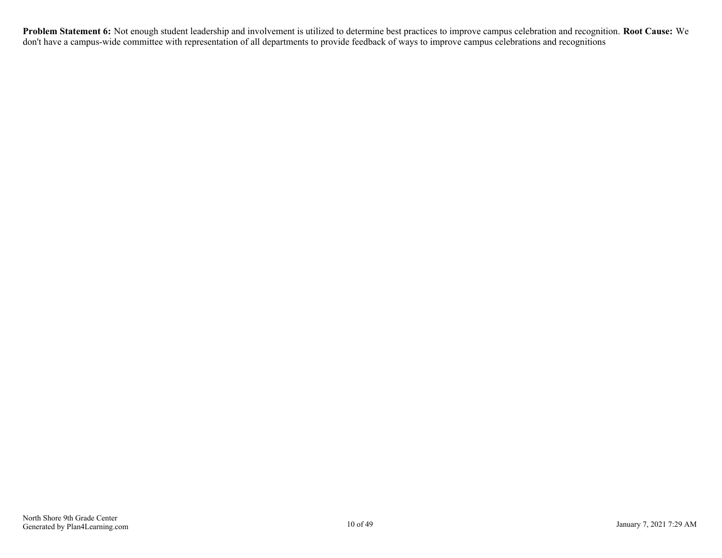**Problem Statement 6:** Not enough student leadership and involvement is utilized to determine best practices to improve campus celebration and recognition. **Root Cause:** We don't have a campus-wide committee with representation of all departments to provide feedback of ways to improve campus celebrations and recognitions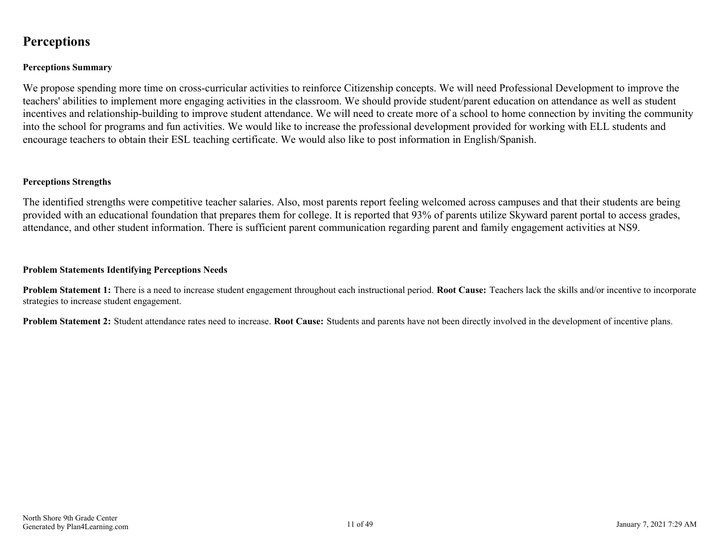### <span id="page-10-0"></span>**Perceptions**

#### **Perceptions Summary**

We propose spending more time on cross-curricular activities to reinforce Citizenship concepts. We will need Professional Development to improve the teachers' abilities to implement more engaging activities in the classroom. We should provide student/parent education on attendance as well as student incentives and relationship-building to improve student attendance. We will need to create more of a school to home connection by inviting the community into the school for programs and fun activities. We would like to increase the professional development provided for working with ELL students and encourage teachers to obtain their ESL teaching certificate. We would also like to post information in English/Spanish.

#### **Perceptions Strengths**

The identified strengths were competitive teacher salaries. Also, most parents report feeling welcomed across campuses and that their students are being provided with an educational foundation that prepares them for college. It is reported that 93% of parents utilize Skyward parent portal to access grades, attendance, and other student information. There is sufficient parent communication regarding parent and family engagement activities at NS9.

#### **Problem Statements Identifying Perceptions Needs**

**Problem Statement 1:** There is a need to increase student engagement throughout each instructional period. **Root Cause:** Teachers lack the skills and/or incentive to incorporate strategies to increase student engagement.

**Problem Statement 2:** Student attendance rates need to increase. **Root Cause:** Students and parents have not been directly involved in the development of incentive plans.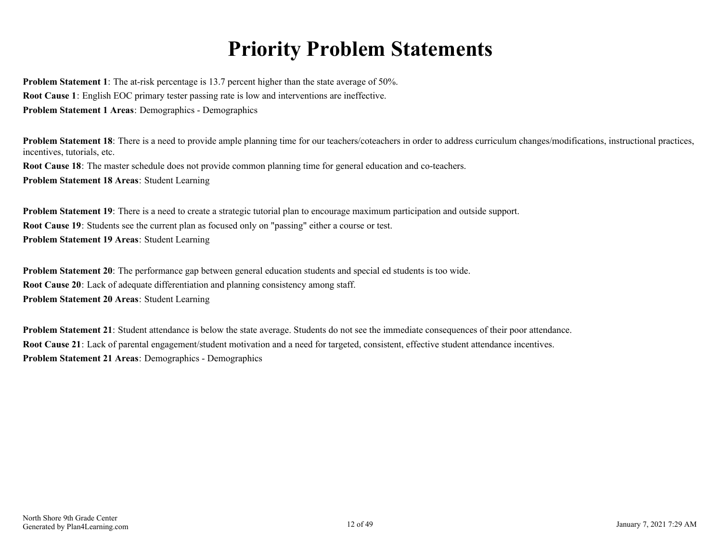# **Priority Problem Statements**

<span id="page-11-0"></span>**Problem Statement 1**: The at-risk percentage is 13.7 percent higher than the state average of 50%. **Root Cause 1**: English EOC primary tester passing rate is low and interventions are ineffective. **Problem Statement 1 Areas**: Demographics - Demographics

**Problem Statement 18**: There is a need to provide ample planning time for our teachers/coteachers in order to address curriculum changes/modifications, instructional practices, incentives, tutorials, etc.

**Root Cause 18**: The master schedule does not provide common planning time for general education and co-teachers. **Problem Statement 18 Areas**: Student Learning

**Problem Statement 19**: There is a need to create a strategic tutorial plan to encourage maximum participation and outside support. **Root Cause 19**: Students see the current plan as focused only on "passing" either a course or test. **Problem Statement 19 Areas**: Student Learning

**Problem Statement 20**: The performance gap between general education students and special ed students is too wide. **Root Cause 20**: Lack of adequate differentiation and planning consistency among staff. **Problem Statement 20 Areas**: Student Learning

**Problem Statement 21**: Student attendance is below the state average. Students do not see the immediate consequences of their poor attendance. **Root Cause 21**: Lack of parental engagement/student motivation and a need for targeted, consistent, effective student attendance incentives. **Problem Statement 21 Areas**: Demographics - Demographics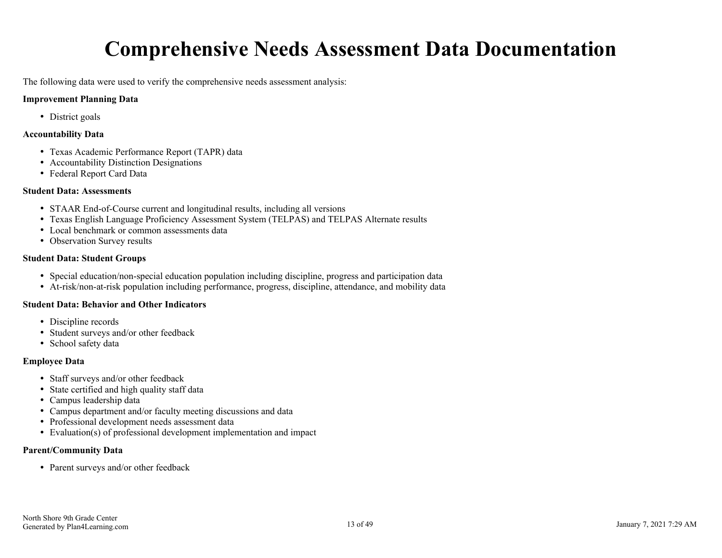# **Comprehensive Needs Assessment Data Documentation**

<span id="page-12-0"></span>The following data were used to verify the comprehensive needs assessment analysis:

#### **Improvement Planning Data**

• District goals

#### **Accountability Data**

- Texas Academic Performance Report (TAPR) data
- Accountability Distinction Designations
- Federal Report Card Data

#### **Student Data: Assessments**

- STAAR End-of-Course current and longitudinal results, including all versions
- Texas English Language Proficiency Assessment System (TELPAS) and TELPAS Alternate results
- Local benchmark or common assessments data
- Observation Survey results

#### **Student Data: Student Groups**

- Special education/non-special education population including discipline, progress and participation data
- At-risk/non-at-risk population including performance, progress, discipline, attendance, and mobility data

#### **Student Data: Behavior and Other Indicators**

- Discipline records
- Student surveys and/or other feedback
- School safety data

#### **Employee Data**

- Staff surveys and/or other feedback
- State certified and high quality staff data
- Campus leadership data
- Campus department and/or faculty meeting discussions and data
- Professional development needs assessment data
- Evaluation(s) of professional development implementation and impact

#### **Parent/Community Data**

• Parent surveys and/or other feedback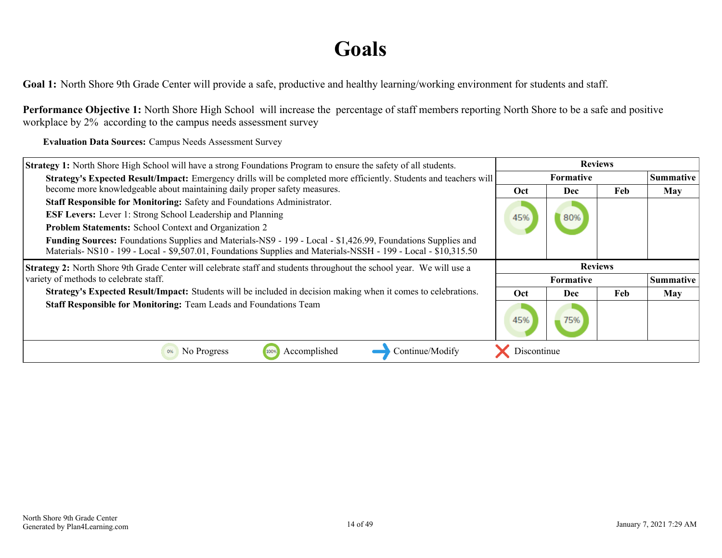# **Goals**

<span id="page-13-0"></span>**Goal 1:** North Shore 9th Grade Center will provide a safe, productive and healthy learning/working environment for students and staff.

**Performance Objective 1:** North Shore High School will increase the percentage of staff members reporting North Shore to be a safe and positive workplace by 2% according to the campus needs assessment survey

**Evaluation Data Sources:** Campus Needs Assessment Survey

| <b>Strategy 1:</b> North Shore High School will have a strong Foundations Program to ensure the safety of all students.                                                                                                        |                  | <b>Reviews</b>   |                  |            |
|--------------------------------------------------------------------------------------------------------------------------------------------------------------------------------------------------------------------------------|------------------|------------------|------------------|------------|
| Strategy's Expected Result/Impact: Emergency drills will be completed more efficiently. Students and teachers will                                                                                                             | <b>Formative</b> |                  | <b>Summative</b> |            |
| become more knowledgeable about maintaining daily proper safety measures.                                                                                                                                                      | <b>Oct</b>       | Dec              | Feb              | <b>May</b> |
| Staff Responsible for Monitoring: Safety and Foundations Administrator.                                                                                                                                                        |                  |                  |                  |            |
| <b>ESF Levers:</b> Lever 1: Strong School Leadership and Planning                                                                                                                                                              | 45%              | 80%              |                  |            |
| <b>Problem Statements:</b> School Context and Organization 2                                                                                                                                                                   |                  |                  |                  |            |
| Funding Sources: Foundations Supplies and Materials-NS9 - 199 - Local - \$1,426.99, Foundations Supplies and<br>Materials-NS10 - 199 - Local - \$9,507.01, Foundations Supplies and Materials-NSSH - 199 - Local - \$10,315.50 |                  |                  |                  |            |
| <b>Strategy 2:</b> North Shore 9th Grade Center will celebrate staff and students throughout the school year. We will use a                                                                                                    |                  | <b>Reviews</b>   |                  |            |
| variety of methods to celebrate staff.                                                                                                                                                                                         |                  | <b>Formative</b> |                  | Summative  |
| Strategy's Expected Result/Impact: Students will be included in decision making when it comes to celebrations.                                                                                                                 | Oct              | <b>Dec</b>       | Feb              | <b>May</b> |
| <b>Staff Responsible for Monitoring: Team Leads and Foundations Team</b>                                                                                                                                                       | 45%              |                  |                  |            |
| Accomplished<br>No Progress<br>Continue/Modify<br>100%<br>0%                                                                                                                                                                   | Discontinue      |                  |                  |            |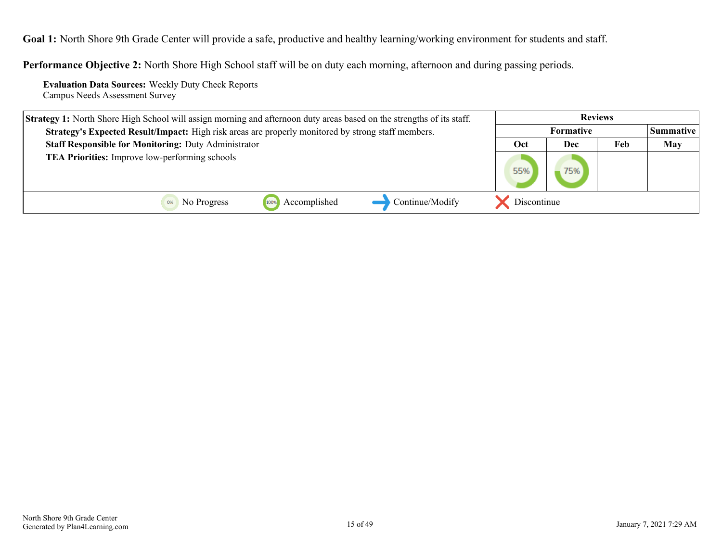**Goal 1:** North Shore 9th Grade Center will provide a safe, productive and healthy learning/working environment for students and staff.

**Performance Objective 2:** North Shore High School staff will be on duty each morning, afternoon and during passing periods.

**Evaluation Data Sources:** Weekly Duty Check Reports Campus Needs Assessment Survey

| <b>Strategy 1:</b> North Shore High School will assign morning and afternoon duty areas based on the strengths of its staff. | <b>Reviews</b>    |  |            |  |
|------------------------------------------------------------------------------------------------------------------------------|-------------------|--|------------|--|
| <b>Formative</b><br>Strategy's Expected Result/Impact: High risk areas are properly monitored by strong staff members.       |                   |  | Summative  |  |
| <b>Staff Responsible for Monitoring: Duty Administrator</b>                                                                  | Feb<br>Oct<br>Dec |  | <b>May</b> |  |
| <b>TEA Priorities:</b> Improve low-performing schools                                                                        |                   |  |            |  |
| Accomplished<br>Continue/Modify<br>No Progress<br>100%                                                                       | Discontinue       |  |            |  |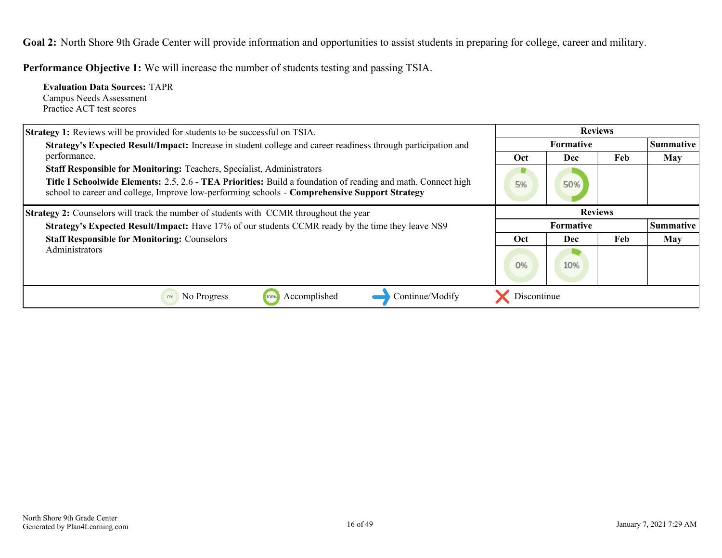<span id="page-15-0"></span>Goal 2: North Shore 9th Grade Center will provide information and opportunities to assist students in preparing for college, career and military.

**Performance Objective 1:** We will increase the number of students testing and passing TSIA.

| <b>Evaluation Data Sources: TAPR</b><br>Campus Needs Assessment<br>Practice ACT test scores                                                                                                                                                                                                           |             |                  |     |                  |
|-------------------------------------------------------------------------------------------------------------------------------------------------------------------------------------------------------------------------------------------------------------------------------------------------------|-------------|------------------|-----|------------------|
| <b>Strategy 1:</b> Reviews will be provided for students to be successful on TSIA.                                                                                                                                                                                                                    |             | <b>Reviews</b>   |     |                  |
| Strategy's Expected Result/Impact: Increase in student college and career readiness through participation and                                                                                                                                                                                         |             | <b>Formative</b> |     | <b>Summative</b> |
| performance.                                                                                                                                                                                                                                                                                          | Oct         | <b>Dec</b>       | Feb | <b>May</b>       |
| <b>Staff Responsible for Monitoring: Teachers, Specialist, Administrators</b><br><b>Title I Schoolwide Elements: 2.5, 2.6 - TEA Priorities: Build a foundation of reading and math, Connect high</b><br>school to career and college, Improve low-performing schools - Comprehensive Support Strategy | 5%          | 50%              |     |                  |
| <b>Strategy 2:</b> Counselors will track the number of students with CCMR throughout the year                                                                                                                                                                                                         |             | <b>Reviews</b>   |     |                  |
| Strategy's Expected Result/Impact: Have 17% of our students CCMR ready by the time they leave NS9                                                                                                                                                                                                     |             | <b>Formative</b> |     | <b>Summative</b> |
| <b>Staff Responsible for Monitoring: Counselors</b>                                                                                                                                                                                                                                                   | Oct         | <b>Dec</b>       | Feb | <b>May</b>       |
| Administrators                                                                                                                                                                                                                                                                                        | 0%          | 10%              |     |                  |
| No Progress<br>Accomplished<br>Continue/Modify<br>100%<br>0%                                                                                                                                                                                                                                          | Discontinue |                  |     |                  |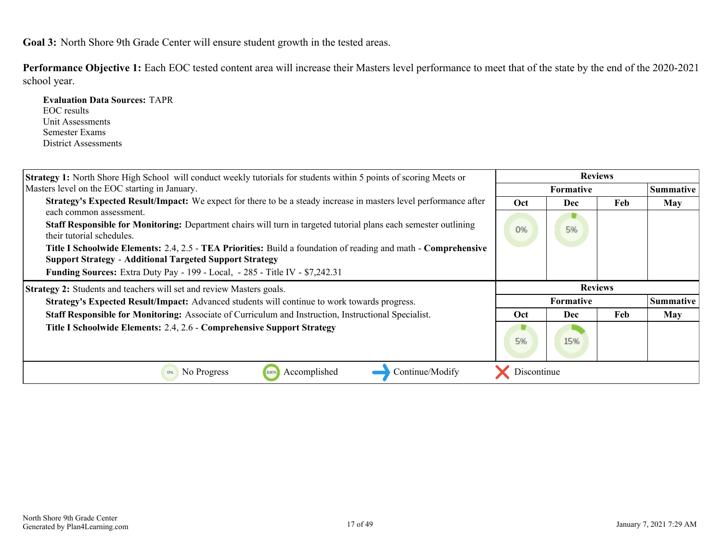**Evaluation Data Sources:** TAPR

<span id="page-16-0"></span>**Performance Objective 1:** Each EOC tested content area will increase their Masters level performance to meet that of the state by the end of the 2020-2021 school year.

| EOC results                                                                                                                                   |             |            |                |                  |
|-----------------------------------------------------------------------------------------------------------------------------------------------|-------------|------------|----------------|------------------|
| Unit Assessments                                                                                                                              |             |            |                |                  |
| Semester Exams                                                                                                                                |             |            |                |                  |
| District Assessments                                                                                                                          |             |            |                |                  |
|                                                                                                                                               |             |            |                |                  |
| <b>Strategy 1:</b> North Shore High School will conduct weekly tutorials for students within 5 points of scoring Meets or                     |             |            | <b>Reviews</b> |                  |
| Masters level on the EOC starting in January.                                                                                                 |             | Formative  |                | <b>Summative</b> |
| Strategy's Expected Result/Impact: We expect for there to be a steady increase in masters level performance after                             | Oct         | Dec        | Feb            | <b>May</b>       |
| each common assessment.                                                                                                                       |             |            |                |                  |
| Staff Responsible for Monitoring: Department chairs will turn in targeted tutorial plans each semester outlining<br>their tutorial schedules. | 0%          | 5%         |                |                  |
| Title I Schoolwide Elements: 2.4, 2.5 - TEA Priorities: Build a foundation of reading and math - Comprehensive                                |             |            |                |                  |
| <b>Support Strategy - Additional Targeted Support Strategy</b>                                                                                |             |            |                |                  |
| <b>Funding Sources:</b> Extra Duty Pay - 199 - Local, - 285 - Title IV - \$7,242.31                                                           |             |            |                |                  |
| Strategy 2: Students and teachers will set and review Masters goals.                                                                          |             |            | <b>Reviews</b> |                  |
| Strategy's Expected Result/Impact: Advanced students will continue to work towards progress.                                                  |             | Formative  |                | <b>Summative</b> |
| Staff Responsible for Monitoring: Associate of Curriculum and Instruction, Instructional Specialist.                                          | Oct         | <b>Dec</b> | Feb            | <b>May</b>       |
| Title I Schoolwide Elements: 2.4, 2.6 - Comprehensive Support Strategy                                                                        |             |            |                |                  |
|                                                                                                                                               | 5%          | 15%        |                |                  |
|                                                                                                                                               |             |            |                |                  |
| Continue/Modify<br>100% Accomplished<br><sup>0%</sup> No Progress                                                                             | Discontinue |            |                |                  |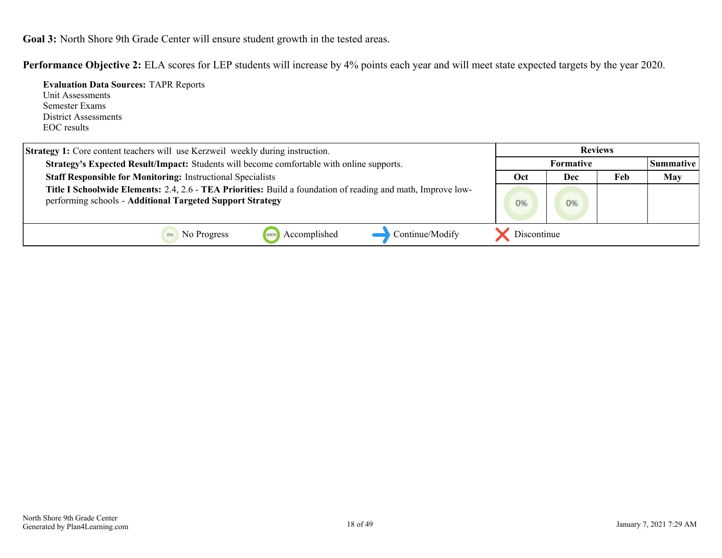**Performance Objective 2:** ELA scores for LEP students will increase by 4% points each year and will meet state expected targets by the year 2020.

| <b>Evaluation Data Sources: TAPR Reports</b><br>Unit Assessments<br>Semester Exams<br>District Assessments<br>EOC results                                                 |             |                  |     |            |
|---------------------------------------------------------------------------------------------------------------------------------------------------------------------------|-------------|------------------|-----|------------|
| Strategy 1: Core content teachers will use Kerzweil weekly during instruction.                                                                                            |             | <b>Reviews</b>   |     |            |
| Strategy's Expected Result/Impact: Students will become comfortable with online supports.                                                                                 |             | <b>Formative</b> |     | Summative  |
| <b>Staff Responsible for Monitoring: Instructional Specialists</b>                                                                                                        | Oct         | <b>Dec</b>       | Feb | <b>May</b> |
| Title I Schoolwide Elements: 2.4, 2.6 - TEA Priorities: Build a foundation of reading and math, Improve low-<br>performing schools - Additional Targeted Support Strategy | 0%          | 0%               |     |            |
| Accomplished<br>Continue/Modify<br>No Progress<br>0%<br>100%                                                                                                              | Discontinue |                  |     |            |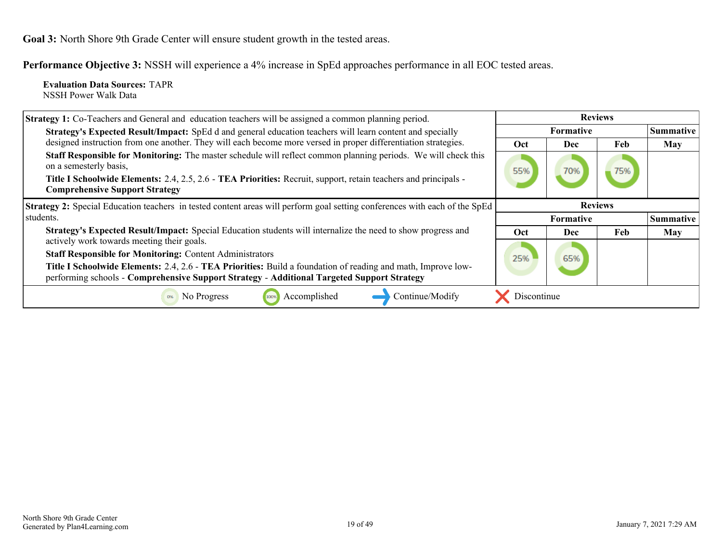**Performance Objective 3:** NSSH will experience a 4% increase in SpEd approaches performance in all EOC tested areas.

**Evaluation Data Sources:** TAPR NSSH Power Walk Data

| <b>Strategy 1:</b> Co-Teachers and General and education teachers will be assigned a common planning period.                                                                                                                                                                                         | <b>Reviews</b> |                  |     |                  |
|------------------------------------------------------------------------------------------------------------------------------------------------------------------------------------------------------------------------------------------------------------------------------------------------------|----------------|------------------|-----|------------------|
| Strategy's Expected Result/Impact: SpEd d and general education teachers will learn content and specially                                                                                                                                                                                            |                | <b>Formative</b> |     | Summative        |
| designed instruction from one another. They will each become more versed in proper differentiation strategies.                                                                                                                                                                                       | <b>Oct</b>     | <b>Dec</b>       | Feb | May              |
| Staff Responsible for Monitoring: The master schedule will reflect common planning periods. We will check this<br>on a semesterly basis,<br>Title I Schoolwide Elements: 2.4, 2.5, 2.6 - TEA Priorities: Recruit, support, retain teachers and principals -<br><b>Comprehensive Support Strategy</b> | 55%            | 70%              | 75% |                  |
| Strategy 2: Special Education teachers in tested content areas will perform goal setting conferences with each of the SpEd                                                                                                                                                                           |                | <b>Reviews</b>   |     |                  |
| students.                                                                                                                                                                                                                                                                                            |                | <b>Formative</b> |     | <b>Summative</b> |
| Strategy's Expected Result/Impact: Special Education students will internalize the need to show progress and                                                                                                                                                                                         | <b>Oct</b>     | Dec              | Feb | May              |
| actively work towards meeting their goals.                                                                                                                                                                                                                                                           |                |                  |     |                  |
| <b>Staff Responsible for Monitoring: Content Administrators</b>                                                                                                                                                                                                                                      | 25%            | 65%              |     |                  |
| Title I Schoolwide Elements: 2.4, 2.6 - TEA Priorities: Build a foundation of reading and math, Improve low-<br>performing schools - Comprehensive Support Strategy - Additional Targeted Support Strategy                                                                                           |                |                  |     |                  |
| Accomplished<br>Continue/Modify<br>No Progress                                                                                                                                                                                                                                                       | Discontinue    |                  |     |                  |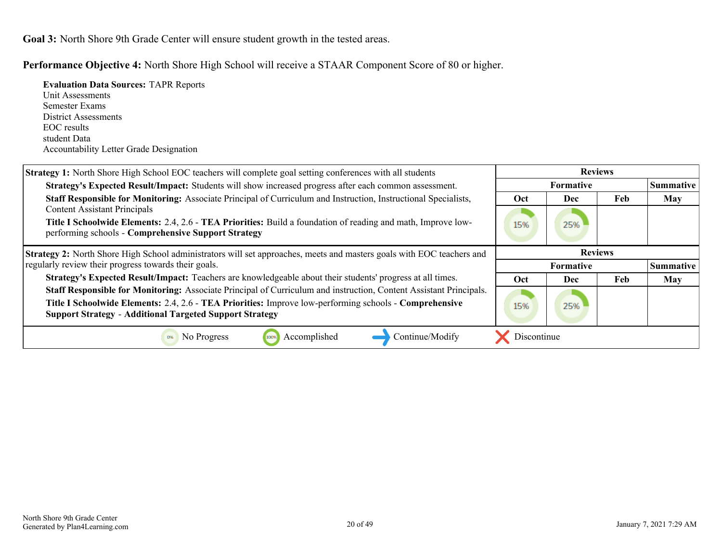**Evaluation Data Sources:** TAPR Reports

Unit Assessments Semester Exams

**Performance Objective 4:** North Shore High School will receive a STAAR Component Score of 80 or higher.

| District Assessments                                                                                                   |             |                  |     |                  |
|------------------------------------------------------------------------------------------------------------------------|-------------|------------------|-----|------------------|
| EOC results                                                                                                            |             |                  |     |                  |
| student Data                                                                                                           |             |                  |     |                  |
| <b>Accountability Letter Grade Designation</b>                                                                         |             |                  |     |                  |
| Strategy 1: North Shore High School EOC teachers will complete goal setting conferences with all students              |             | <b>Reviews</b>   |     |                  |
| Strategy's Expected Result/Impact: Students will show increased progress after each common assessment.                 |             | Formative        |     | <b>Summative</b> |
| <b>Staff Responsible for Monitoring:</b> Associate Principal of Curriculum and Instruction, Instructional Specialists, | Oct         | <b>Dec</b>       | Feb | May              |
| <b>Content Assistant Principals</b>                                                                                    |             |                  |     |                  |
| <b>Title I Schoolwide Elements: 2.4, 2.6 - TEA Priorities: Build a foundation of reading and math, Improve low-</b>    | 15%         | 25%              |     |                  |
| performing schools - Comprehensive Support Strategy                                                                    |             |                  |     |                  |
| Strategy 2: North Shore High School administrators will set approaches, meets and masters goals with EOC teachers and  |             | <b>Reviews</b>   |     |                  |
| regularly review their progress towards their goals.                                                                   |             | <b>Formative</b> |     | <b>Summative</b> |
| Strategy's Expected Result/Impact: Teachers are knowledgeable about their students' progress at all times.             | Oct         | Dec              | Feb | <b>May</b>       |
| Staff Responsible for Monitoring: Associate Principal of Curriculum and instruction, Content Assistant Principals.     |             |                  |     |                  |
| Title I Schoolwide Elements: 2.4, 2.6 - TEA Priorities: Improve low-performing schools - Comprehensive                 | 15%         | 25%              |     |                  |
| <b>Support Strategy - Additional Targeted Support Strategy</b>                                                         |             |                  |     |                  |
| Accomplished<br>No Progress<br>Continue/Modify<br>100%<br>0%                                                           | Discontinue |                  |     |                  |
|                                                                                                                        |             |                  |     |                  |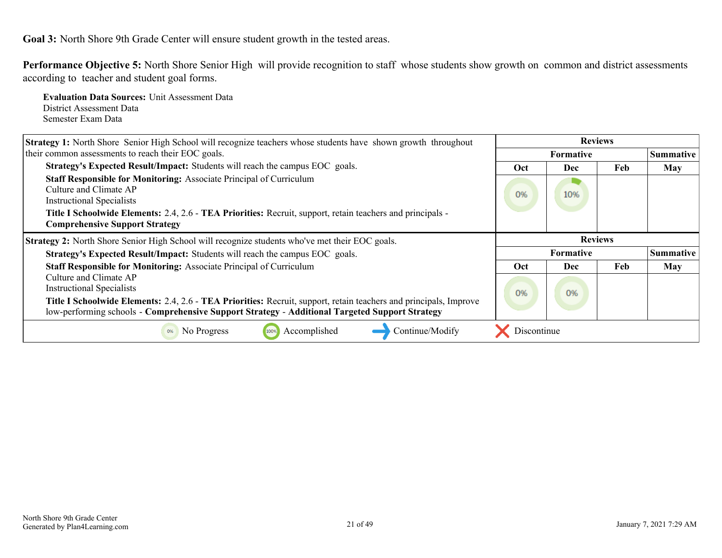**Performance Objective 5:** North Shore Senior High will provide recognition to staff whose students show growth on common and district assessments according to teacher and student goal forms.

**Evaluation Data Sources:** Unit Assessment Data District Assessment Data Semester Exam Data

| <b>Strategy 1:</b> North Shore Senior High School will recognize teachers whose students have shown growth throughout                                                                                               | <b>Reviews</b> |                  |     |                  |
|---------------------------------------------------------------------------------------------------------------------------------------------------------------------------------------------------------------------|----------------|------------------|-----|------------------|
| their common assessments to reach their EOC goals.                                                                                                                                                                  |                | <b>Formative</b> |     | <b>Summative</b> |
| <b>Strategy's Expected Result/Impact:</b> Students will reach the campus EOC goals.                                                                                                                                 | Oct            | <b>Dec</b>       | Feb | <b>May</b>       |
| Staff Responsible for Monitoring: Associate Principal of Curriculum<br>Culture and Climate AP<br><b>Instructional Specialists</b>                                                                                   | 0%             | 10%              |     |                  |
| Title I Schoolwide Elements: 2.4, 2.6 - TEA Priorities: Recruit, support, retain teachers and principals -<br><b>Comprehensive Support Strategy</b>                                                                 |                |                  |     |                  |
| <b>Strategy 2:</b> North Shore Senior High School will recognize students who've met their EOC goals.                                                                                                               |                | <b>Reviews</b>   |     |                  |
| <b>Strategy's Expected Result/Impact:</b> Students will reach the campus EOC goals.                                                                                                                                 |                | <b>Formative</b> |     | <b>Summative</b> |
| Staff Responsible for Monitoring: Associate Principal of Curriculum                                                                                                                                                 | <b>Oct</b>     | <b>Dec</b>       | Feb | <b>May</b>       |
| Culture and Climate AP<br><b>Instructional Specialists</b>                                                                                                                                                          | 0%             | 0%               |     |                  |
| Title I Schoolwide Elements: 2.4, 2.6 - TEA Priorities: Recruit, support, retain teachers and principals, Improve<br>low-performing schools - Comprehensive Support Strategy - Additional Targeted Support Strategy |                |                  |     |                  |
| Accomplished<br>Continue/Modify<br>No Progress<br>100%<br>0%                                                                                                                                                        | Discontinue    |                  |     |                  |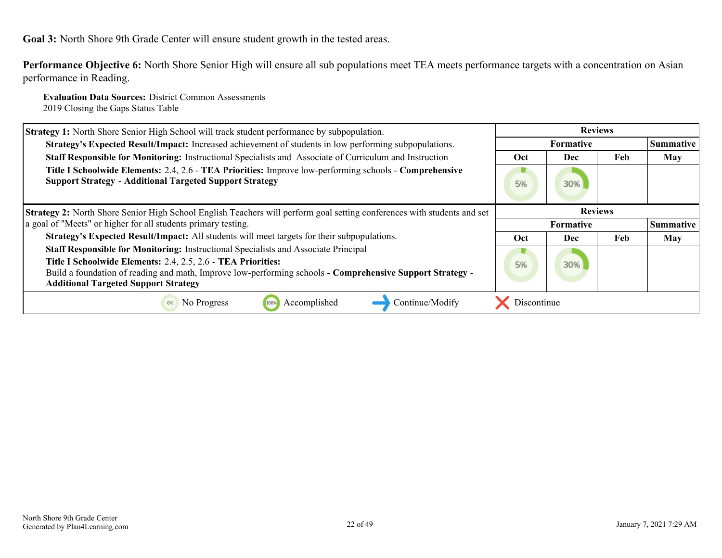**Performance Objective 6:** North Shore Senior High will ensure all sub populations meet TEA meets performance targets with a concentration on Asian performance in Reading.

**Evaluation Data Sources:** District Common Assessments 2019 Closing the Gaps Status Table

| <b>Strategy 1:</b> North Shore Senior High School will track student performance by subpopulation.                                                                                                                       | <b>Reviews</b> |           |     |            |
|--------------------------------------------------------------------------------------------------------------------------------------------------------------------------------------------------------------------------|----------------|-----------|-----|------------|
| Strategy's Expected Result/Impact: Increased achievement of students in low performing subpopulations.                                                                                                                   |                | Summative |     |            |
| Staff Responsible for Monitoring: Instructional Specialists and Associate of Curriculum and Instruction                                                                                                                  | <b>Oct</b>     | Dec       | Feb | <b>May</b> |
| Title I Schoolwide Elements: 2.4, 2.6 - TEA Priorities: Improve low-performing schools - Comprehensive<br><b>Support Strategy - Additional Targeted Support Strategy</b>                                                 | 5%             | 30%       |     |            |
| <b>Strategy 2:</b> North Shore Senior High School English Teachers will perform goal setting conferences with students and set                                                                                           | <b>Reviews</b> |           |     |            |
| a goal of "Meets" or higher for all students primary testing.                                                                                                                                                            | Formative      |           |     | Summative  |
| Strategy's Expected Result/Impact: All students will meet targets for their subpopulations.                                                                                                                              | Oct            | Dec       | Feb | <b>May</b> |
| Staff Responsible for Monitoring: Instructional Specialists and Associate Principal                                                                                                                                      |                |           |     |            |
| Title I Schoolwide Elements: 2.4, 2.5, 2.6 - TEA Priorities:<br>Build a foundation of reading and math, Improve low-performing schools - Comprehensive Support Strategy -<br><b>Additional Targeted Support Strategy</b> | 5%             | 30%       |     |            |
| Accomplished<br>Continue/Modify<br>No Progress<br>0%<br>100%                                                                                                                                                             | Discontinue    |           |     |            |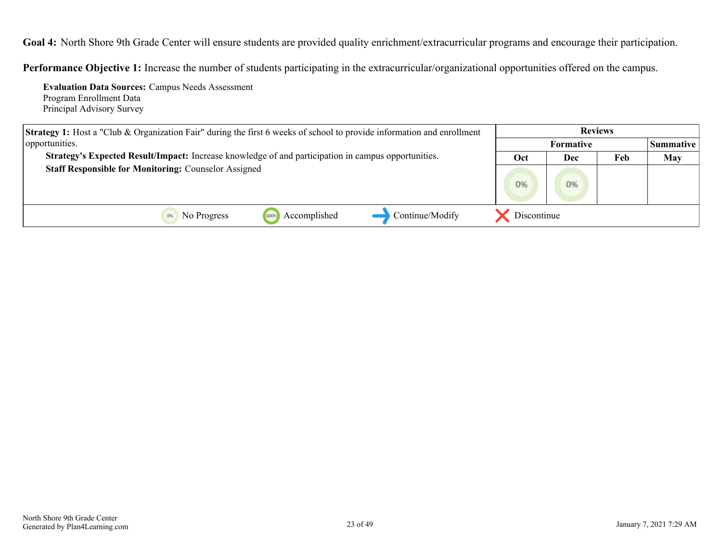<span id="page-22-0"></span>**Goal 4:** North Shore 9th Grade Center will ensure students are provided quality enrichment/extracurricular programs and encourage their participation.

**Performance Objective 1:** Increase the number of students participating in the extracurricular/organizational opportunities offered on the campus.

**Evaluation Data Sources:** Campus Needs Assessment Program Enrollment Data Principal Advisory Survey

| <b>Strategy 1:</b> Host a "Club & Organization Fair" during the first 6 weeks of school to provide information and enrollment |                  |     |     |                  |
|-------------------------------------------------------------------------------------------------------------------------------|------------------|-----|-----|------------------|
| opportunities.                                                                                                                | <b>Formative</b> |     |     | <b>Summative</b> |
| Strategy's Expected Result/Impact: Increase knowledge of and participation in campus opportunities.                           | Oct              | Dec | Feb | <b>May</b>       |
| <b>Staff Responsible for Monitoring: Counselor Assigned</b>                                                                   | 0%               | 0%  |     |                  |
| Continue/Modify<br>Accomplished<br>No Progress                                                                                | Discontinue      |     |     |                  |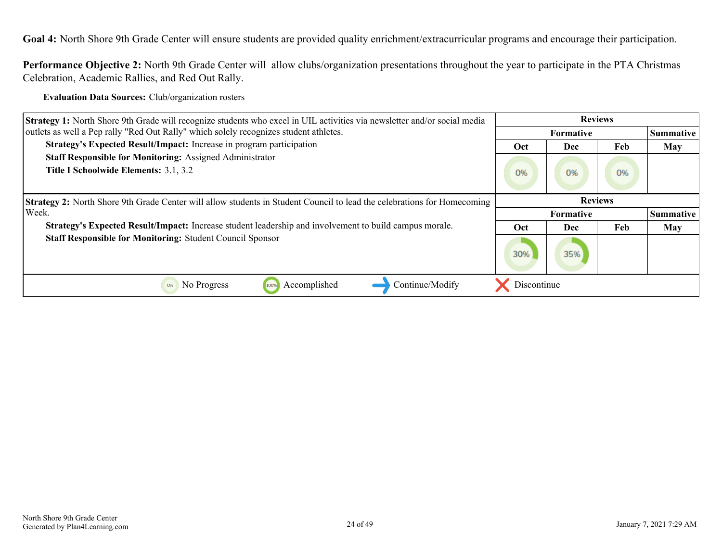**Goal 4:** North Shore 9th Grade Center will ensure students are provided quality enrichment/extracurricular programs and encourage their participation.

**Performance Objective 2:** North 9th Grade Center will allow clubs/organization presentations throughout the year to participate in the PTA Christmas Celebration, Academic Rallies, and Red Out Rally.

**Evaluation Data Sources:** Club/organization rosters

| <b>Strategy 1:</b> North Shore 9th Grade will recognize students who excel in UIL activities via newsletter and/or social media | <b>Reviews</b> |                  |     |                  |
|---------------------------------------------------------------------------------------------------------------------------------|----------------|------------------|-----|------------------|
| outlets as well a Pep rally "Red Out Rally" which solely recognizes student athletes.                                           |                | <b>Formative</b> |     | <b>Summative</b> |
| Strategy's Expected Result/Impact: Increase in program participation                                                            | Oct            | Dec              | Feb | <b>May</b>       |
| <b>Staff Responsible for Monitoring: Assigned Administrator</b>                                                                 |                |                  |     |                  |
| Title I Schoolwide Elements: 3.1, 3.2                                                                                           | 0%             | 0%               | 0%  |                  |
| <b>Strategy 2:</b> North Shore 9th Grade Center will allow students in Student Council to lead the celebrations for Homecoming  |                |                  |     |                  |
| Week.                                                                                                                           |                | <b>Formative</b> |     | Summative        |
| Strategy's Expected Result/Impact: Increase student leadership and involvement to build campus morale.                          | Oct            | Dec              | Feb | <b>May</b>       |
| <b>Staff Responsible for Monitoring: Student Council Sponsor</b>                                                                | 30%            | 35%              |     |                  |
| Accomplished<br>Continue/Modify<br>No Progress<br>0%<br>100%                                                                    | Discontinue    |                  |     |                  |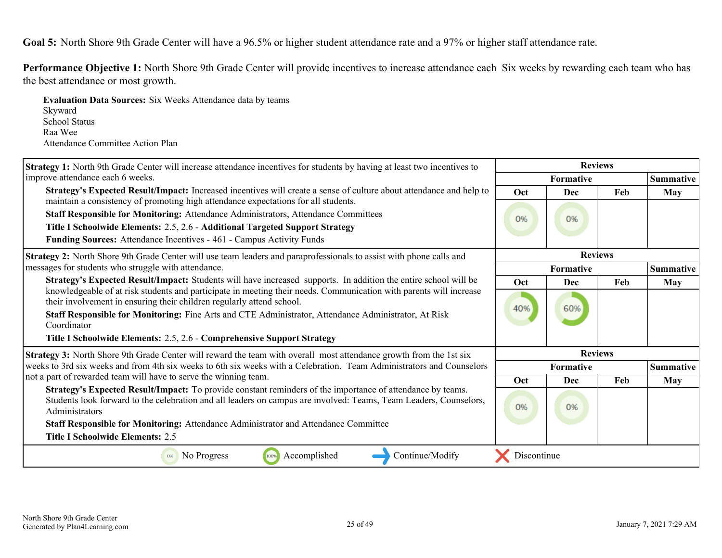<span id="page-24-0"></span>Performance Objective 1: North Shore 9th Grade Center will provide incentives to increase attendance each Six weeks by rewarding each team who has the best attendance or most growth.

**Evaluation Data Sources:** Six Weeks Attendance data by teams Skyward School Status Raa Wee Attendance Committee Action Plan

| <b>Strategy 1:</b> North 9th Grade Center will increase attendance incentives for students by having at least two incentives to                                                                                                                                                                                                                                                     | <b>Reviews</b> |                |     |                  |  |
|-------------------------------------------------------------------------------------------------------------------------------------------------------------------------------------------------------------------------------------------------------------------------------------------------------------------------------------------------------------------------------------|----------------|----------------|-----|------------------|--|
| improve attendance each 6 weeks.                                                                                                                                                                                                                                                                                                                                                    |                | Formative      |     | <b>Summative</b> |  |
| Strategy's Expected Result/Impact: Increased incentives will create a sense of culture about attendance and help to                                                                                                                                                                                                                                                                 | Oct            | Dec            | Feb | <b>May</b>       |  |
| maintain a consistency of promoting high attendance expectations for all students.<br>Staff Responsible for Monitoring: Attendance Administrators, Attendance Committees<br>Title I Schoolwide Elements: 2.5, 2.6 - Additional Targeted Support Strategy<br>Funding Sources: Attendance Incentives - 461 - Campus Activity Funds                                                    | 0%             | 0%             |     |                  |  |
| Strategy 2: North Shore 9th Grade Center will use team leaders and paraprofessionals to assist with phone calls and                                                                                                                                                                                                                                                                 |                | <b>Reviews</b> |     |                  |  |
| messages for students who struggle with attendance.                                                                                                                                                                                                                                                                                                                                 |                | Formative      |     | <b>Summative</b> |  |
| Strategy's Expected Result/Impact: Students will have increased supports. In addition the entire school will be                                                                                                                                                                                                                                                                     | Oct            | Dec            | Feb | <b>May</b>       |  |
| knowledgeable of at risk students and participate in meeting their needs. Communication with parents will increase<br>their involvement in ensuring their children regularly attend school.<br>Staff Responsible for Monitoring: Fine Arts and CTE Administrator, Attendance Administrator, At Risk<br>Coordinator                                                                  | 40%            | 60%            |     |                  |  |
| Title I Schoolwide Elements: 2.5, 2.6 - Comprehensive Support Strategy                                                                                                                                                                                                                                                                                                              |                |                |     |                  |  |
| Strategy 3: North Shore 9th Grade Center will reward the team with overall most attendance growth from the 1st six                                                                                                                                                                                                                                                                  |                | <b>Reviews</b> |     |                  |  |
| weeks to 3rd six weeks and from 4th six weeks to 6th six weeks with a Celebration. Team Administrators and Counselors                                                                                                                                                                                                                                                               |                | Formative      |     | <b>Summative</b> |  |
| not a part of rewarded team will have to serve the winning team.                                                                                                                                                                                                                                                                                                                    | Oct            | Dec            | Feb | <b>May</b>       |  |
| Strategy's Expected Result/Impact: To provide constant reminders of the importance of attendance by teams.<br>Students look forward to the celebration and all leaders on campus are involved: Teams, Team Leaders, Counselors,<br>Administrators<br>Staff Responsible for Monitoring: Attendance Administrator and Attendance Committee<br><b>Title I Schoolwide Elements: 2.5</b> | 0%             | 0%             |     |                  |  |
| Accomplished<br>Continue/Modify<br>No Progress<br>100%<br>0%                                                                                                                                                                                                                                                                                                                        | Discontinue    |                |     |                  |  |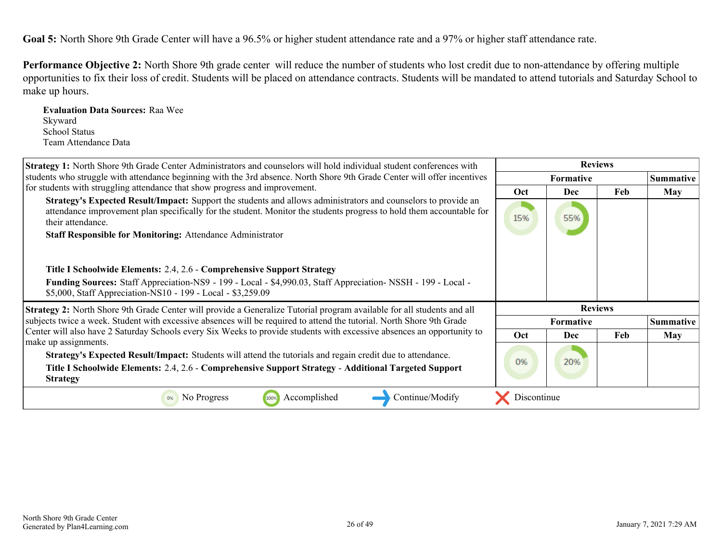**Performance Objective 2:** North Shore 9th grade center will reduce the number of students who lost credit due to non-attendance by offering multiple opportunities to fix their loss of credit. Students will be placed on attendance contracts. Students will be mandated to attend tutorials and Saturday School to make up hours.

**Evaluation Data Sources:** Raa Wee Skyward School Status Team Attendance Data

| Strategy 1: North Shore 9th Grade Center Administrators and counselors will hold individual student conferences with                                                                                                                                        |             |                  |     |                  |
|-------------------------------------------------------------------------------------------------------------------------------------------------------------------------------------------------------------------------------------------------------------|-------------|------------------|-----|------------------|
| students who struggle with attendance beginning with the 3rd absence. North Shore 9th Grade Center will offer incentives                                                                                                                                    |             | <b>Formative</b> |     | <b>Summative</b> |
| for students with struggling attendance that show progress and improvement.                                                                                                                                                                                 | Oct         | Dec              | Feb | <b>May</b>       |
| Strategy's Expected Result/Impact: Support the students and allows administrators and counselors to provide an<br>attendance improvement plan specifically for the student. Monitor the students progress to hold them accountable for<br>their attendance. | 15%         | 55%              |     |                  |
| <b>Staff Responsible for Monitoring: Attendance Administrator</b>                                                                                                                                                                                           |             |                  |     |                  |
|                                                                                                                                                                                                                                                             |             |                  |     |                  |
| Title I Schoolwide Elements: 2.4, 2.6 - Comprehensive Support Strategy<br>Funding Sources: Staff Appreciation-NS9 - 199 - Local - \$4,990.03, Staff Appreciation-NSSH - 199 - Local -                                                                       |             |                  |     |                  |
| \$5,000, Staff Appreciation-NS10 - 199 - Local - \$3,259.09                                                                                                                                                                                                 |             |                  |     |                  |
| Strategy 2: North Shore 9th Grade Center will provide a Generalize Tutorial program available for all students and all                                                                                                                                      |             | <b>Reviews</b>   |     |                  |
| subjects twice a week. Student with excessive absences will be required to attend the tutorial. North Shore 9th Grade                                                                                                                                       |             | <b>Formative</b> |     | Summative        |
| Center will also have 2 Saturday Schools every Six Weeks to provide students with excessive absences an opportunity to<br>make up assignments.                                                                                                              | Oct         | Dec              | Feb | <b>May</b>       |
| Strategy's Expected Result/Impact: Students will attend the tutorials and regain credit due to attendance.<br>Title I Schoolwide Elements: 2.4, 2.6 - Comprehensive Support Strategy - Additional Targeted Support<br><b>Strategy</b>                       | 0%          | 20%              |     |                  |
| Accomplished<br>Continue/Modify<br>No Progress<br>100%                                                                                                                                                                                                      | Discontinue |                  |     |                  |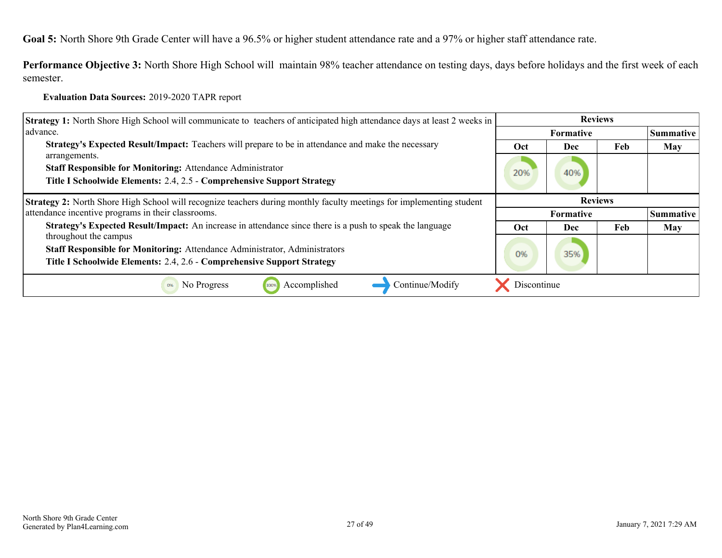**Performance Objective 3:** North Shore High School will maintain 98% teacher attendance on testing days, days before holidays and the first week of each semester.

**Evaluation Data Sources:** 2019-2020 TAPR report

| <b>Strategy 1:</b> North Shore High School will communicate to teachers of anticipated high attendance days at least 2 weeks in | <b>Reviews</b>   |                  |     |                  |
|---------------------------------------------------------------------------------------------------------------------------------|------------------|------------------|-----|------------------|
| advance.                                                                                                                        | <b>Formative</b> |                  |     | Summative        |
| Strategy's Expected Result/Impact: Teachers will prepare to be in attendance and make the necessary                             | Oct              | Dec              | Feb | <b>May</b>       |
| arrangements.                                                                                                                   |                  |                  |     |                  |
| <b>Staff Responsible for Monitoring: Attendance Administrator</b>                                                               | 20%              | 40%              |     |                  |
| Title I Schoolwide Elements: 2.4, 2.5 - Comprehensive Support Strategy                                                          |                  |                  |     |                  |
| <b>Strategy 2:</b> North Shore High School will recognize teachers during monthly faculty meetings for implementing student     |                  | <b>Reviews</b>   |     |                  |
| attendance incentive programs in their classrooms.                                                                              |                  | <b>Formative</b> |     | <b>Summative</b> |
| Strategy's Expected Result/Impact: An increase in attendance since there is a push to speak the language                        | Oct              | Dec              | Feb | <b>May</b>       |
| throughout the campus                                                                                                           |                  |                  |     |                  |
| Staff Responsible for Monitoring: Attendance Administrator, Administrators                                                      | 0%               | 35%              |     |                  |
| Title I Schoolwide Elements: 2.4, 2.6 - Comprehensive Support Strategy                                                          |                  |                  |     |                  |
| Accomplished<br>Continue/Modify<br>No Progress<br>100%<br>0%                                                                    | Discontinue      |                  |     |                  |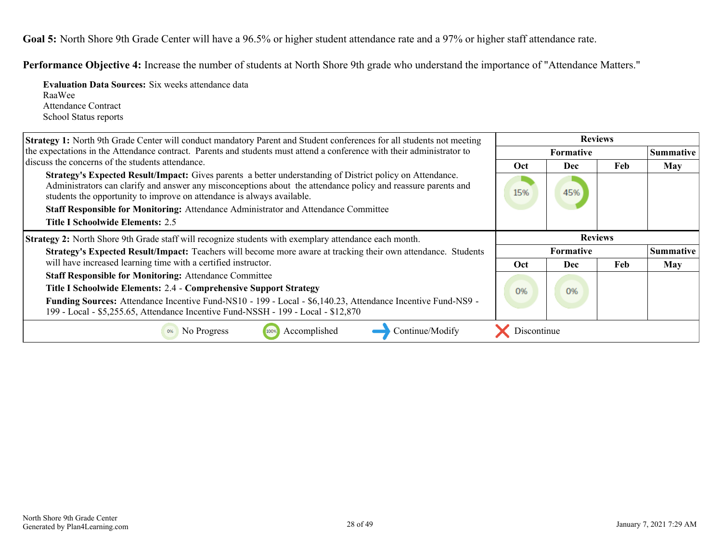**Performance Objective 4:** Increase the number of students at North Shore 9th grade who understand the importance of "Attendance Matters."

**Evaluation Data Sources:** Six weeks attendance data RaaWee Attendance Contract School Status reports

| <b>Strategy 1:</b> North 9th Grade Center will conduct mandatory Parent and Student conferences for all students not meeting                                                                                                                                                                         | <b>Reviews</b> |                  |     |                  |
|------------------------------------------------------------------------------------------------------------------------------------------------------------------------------------------------------------------------------------------------------------------------------------------------------|----------------|------------------|-----|------------------|
| the expectations in the Attendance contract. Parents and students must attend a conference with their administrator to                                                                                                                                                                               |                | Formative        |     | Summative        |
| discuss the concerns of the students attendance.                                                                                                                                                                                                                                                     | <b>Oct</b>     | Dec              | Feb | <b>May</b>       |
| Strategy's Expected Result/Impact: Gives parents a better understanding of District policy on Attendance.<br>Administrators can clarify and answer any misconceptions about the attendance policy and reassure parents and<br>students the opportunity to improve on attendance is always available. | 15%            | 45%              |     |                  |
| Staff Responsible for Monitoring: Attendance Administrator and Attendance Committee                                                                                                                                                                                                                  |                |                  |     |                  |
| <b>Title I Schoolwide Elements: 2.5</b>                                                                                                                                                                                                                                                              |                |                  |     |                  |
| <b>Strategy 2:</b> North Shore 9th Grade staff will recognize students with exemplary attendance each month.                                                                                                                                                                                         |                | <b>Reviews</b>   |     |                  |
| Strategy's Expected Result/Impact: Teachers will become more aware at tracking their own attendance. Students                                                                                                                                                                                        |                | <b>Formative</b> |     | <b>Summative</b> |
| will have increased learning time with a certified instructor.                                                                                                                                                                                                                                       | Oct            | Dec              | Feb | May              |
| <b>Staff Responsible for Monitoring: Attendance Committee</b>                                                                                                                                                                                                                                        |                |                  |     |                  |
| Title I Schoolwide Elements: 2.4 - Comprehensive Support Strategy                                                                                                                                                                                                                                    | 0%             | 0%               |     |                  |
| Funding Sources: Attendance Incentive Fund-NS10 - 199 - Local - \$6,140.23, Attendance Incentive Fund-NS9 -<br>199 - Local - \$5,255.65, Attendance Incentive Fund-NSSH - 199 - Local - \$12,870                                                                                                     |                |                  |     |                  |
| Accomplished<br>Continue/Modify<br>No Progress<br>100%                                                                                                                                                                                                                                               | Discontinue    |                  |     |                  |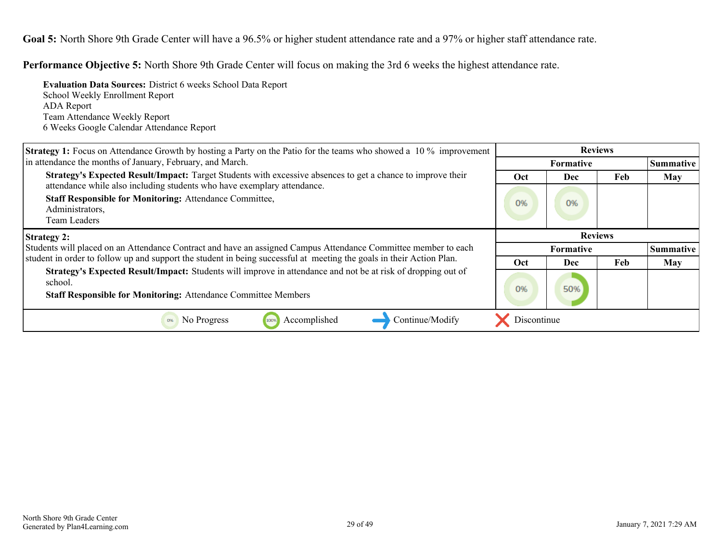**Performance Objective 5:** North Shore 9th Grade Center will focus on making the 3rd 6 weeks the highest attendance rate.

**Evaluation Data Sources:** District 6 weeks School Data Report School Weekly Enrollment Report ADA Report Team Attendance Weekly Report 6 Weeks Google Calendar Attendance Report

| <b>Strategy 1:</b> Focus on Attendance Growth by hosting a Party on the Patio for the teams who showed a 10 % improvement | <b>Reviews</b> |                  |           |                  |  |
|---------------------------------------------------------------------------------------------------------------------------|----------------|------------------|-----------|------------------|--|
| in attendance the months of January, February, and March.                                                                 |                |                  | Summative |                  |  |
| Strategy's Expected Result/Impact: Target Students with excessive absences to get a chance to improve their               | Oct            | <b>Dec</b>       | Feb       | <b>May</b>       |  |
| attendance while also including students who have exemplary attendance.                                                   |                |                  |           |                  |  |
| <b>Staff Responsible for Monitoring: Attendance Committee,</b><br>Administrators,                                         | 0%             | 0%               |           |                  |  |
| Team Leaders                                                                                                              |                |                  |           |                  |  |
| <b>Strategy 2:</b>                                                                                                        |                | <b>Reviews</b>   |           |                  |  |
| Students will placed on an Attendance Contract and have an assigned Campus Attendance Committee member to each            |                | <b>Formative</b> |           | <b>Summative</b> |  |
|                                                                                                                           |                |                  |           |                  |  |
| student in order to follow up and support the student in being successful at meeting the goals in their Action Plan.      | Oct            | Dec              | Feb       | <b>May</b>       |  |
| Strategy's Expected Result/Impact: Students will improve in attendance and not be at risk of dropping out of<br>school.   | 0%             | 50%              |           |                  |  |
| <b>Staff Responsible for Monitoring: Attendance Committee Members</b>                                                     |                |                  |           |                  |  |
| Accomplished<br>Continue/Modify<br>No Progress<br>100%<br>0%                                                              | Discontinue    |                  |           |                  |  |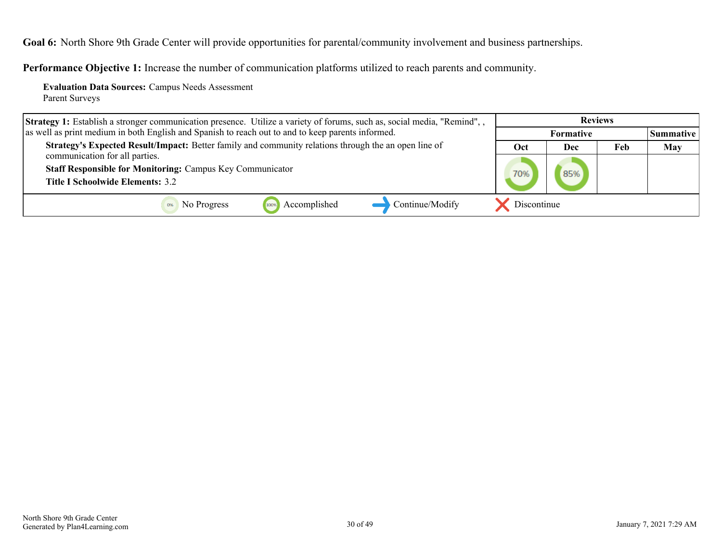<span id="page-29-0"></span>**Goal 6:** North Shore 9th Grade Center will provide opportunities for parental/community involvement and business partnerships.

**Performance Objective 1:** Increase the number of communication platforms utilized to reach parents and community.

**Evaluation Data Sources:** Campus Needs Assessment Parent Surveys

| Strategy 1: Establish a stronger communication presence. Utilize a variety of forums, such as, social media, "Remind", , | <b>Reviews</b>   |     |     |                  |
|--------------------------------------------------------------------------------------------------------------------------|------------------|-----|-----|------------------|
| as well as print medium in both English and Spanish to reach out to and to keep parents informed.                        | <b>Formative</b> |     |     | <b>Summative</b> |
| Strategy's Expected Result/Impact: Better family and community relations through the an open line of                     | Oct              | Dec | Feb | <b>May</b>       |
| communication for all parties.                                                                                           |                  |     |     |                  |
| <b>Staff Responsible for Monitoring: Campus Key Communicator</b>                                                         | 70%              |     |     |                  |
| <b>Title I Schoolwide Elements: 3.2</b>                                                                                  |                  |     |     |                  |
| Continue/Modify<br>Accomplished<br>No Progress<br>100%                                                                   | Discontinue      |     |     |                  |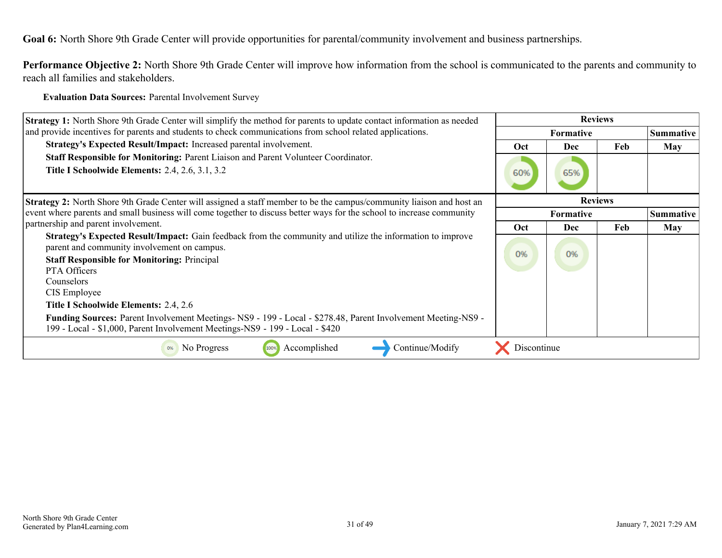**Goal 6:** North Shore 9th Grade Center will provide opportunities for parental/community involvement and business partnerships.

**Performance Objective 2:** North Shore 9th Grade Center will improve how information from the school is communicated to the parents and community to reach all families and stakeholders.

**Evaluation Data Sources:** Parental Involvement Survey

| <b>Strategy 1:</b> North Shore 9th Grade Center will simplify the method for parents to update contact information as needed                                                                                                                                                                                                                                                                                                                                                                                  |                  |                |     |                  |
|---------------------------------------------------------------------------------------------------------------------------------------------------------------------------------------------------------------------------------------------------------------------------------------------------------------------------------------------------------------------------------------------------------------------------------------------------------------------------------------------------------------|------------------|----------------|-----|------------------|
| and provide incentives for parents and students to check communications from school related applications.                                                                                                                                                                                                                                                                                                                                                                                                     | <b>Formative</b> |                |     | <b>Summative</b> |
| Strategy's Expected Result/Impact: Increased parental involvement.                                                                                                                                                                                                                                                                                                                                                                                                                                            | Oct              | <b>Dec</b>     | Feb | May              |
| Staff Responsible for Monitoring: Parent Liaison and Parent Volunteer Coordinator.<br><b>Title I Schoolwide Elements: 2.4, 2.6, 3.1, 3.2</b>                                                                                                                                                                                                                                                                                                                                                                  | 60%              | 65%            |     |                  |
| <b>Strategy 2:</b> North Shore 9th Grade Center will assigned a staff member to be the campus/community liaison and host an                                                                                                                                                                                                                                                                                                                                                                                   |                  | <b>Reviews</b> |     |                  |
| event where parents and small business will come together to discuss better ways for the school to increase community                                                                                                                                                                                                                                                                                                                                                                                         | Formative        |                |     | <b>Summative</b> |
| partnership and parent involvement.                                                                                                                                                                                                                                                                                                                                                                                                                                                                           | Oct              | <b>Dec</b>     | Feb | <b>May</b>       |
| <b>Strategy's Expected Result/Impact:</b> Gain feedback from the community and utilize the information to improve<br>parent and community involvement on campus.<br><b>Staff Responsible for Monitoring: Principal</b><br>PTA Officers<br>Counselors<br>CIS Employee<br>Title I Schoolwide Elements: 2.4, 2.6<br>Funding Sources: Parent Involvement Meetings- NS9 - 199 - Local - \$278.48, Parent Involvement Meeting-NS9 -<br>199 - Local - \$1,000, Parent Involvement Meetings-NS9 - 199 - Local - \$420 | 0%               | 0%             |     |                  |
| Accomplished<br>Continue/Modify<br>No Progress<br>100%                                                                                                                                                                                                                                                                                                                                                                                                                                                        | Discontinue      |                |     |                  |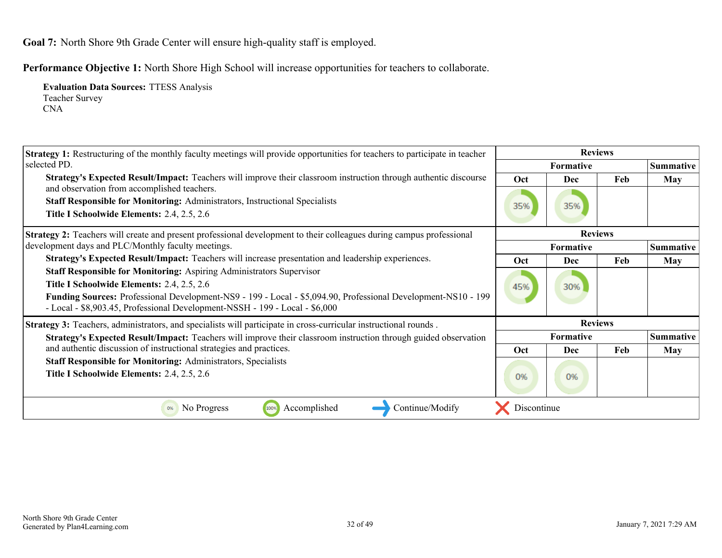<span id="page-31-0"></span>**Goal 7:** North Shore 9th Grade Center will ensure high-quality staff is employed.

**Performance Objective 1:** North Shore High School will increase opportunities for teachers to collaborate.

**Evaluation Data Sources:** TTESS Analysis Teacher Survey CNA

| <b>Strategy 1:</b> Restructuring of the monthly faculty meetings will provide opportunities for teachers to participate in teacher                                                                                                                                                                                 | <b>Reviews</b>   |                |     |                  |  |  |  |
|--------------------------------------------------------------------------------------------------------------------------------------------------------------------------------------------------------------------------------------------------------------------------------------------------------------------|------------------|----------------|-----|------------------|--|--|--|
| selected PD.                                                                                                                                                                                                                                                                                                       | <b>Formative</b> |                |     | Summative        |  |  |  |
| <b>Strategy's Expected Result/Impact:</b> Teachers will improve their classroom instruction through authentic discourse<br>and observation from accomplished teachers.                                                                                                                                             | Oct              | <b>Dec</b>     | Feb | May              |  |  |  |
| <b>Staff Responsible for Monitoring: Administrators, Instructional Specialists</b>                                                                                                                                                                                                                                 |                  |                |     |                  |  |  |  |
| Title I Schoolwide Elements: 2.4, 2.5, 2.6                                                                                                                                                                                                                                                                         | 35%              | 35%            |     |                  |  |  |  |
| Strategy 2: Teachers will create and present professional development to their colleagues during campus professional                                                                                                                                                                                               |                  | <b>Reviews</b> |     |                  |  |  |  |
| development days and PLC/Monthly faculty meetings.                                                                                                                                                                                                                                                                 |                  | Formative      |     | <b>Summative</b> |  |  |  |
| Strategy's Expected Result/Impact: Teachers will increase presentation and leadership experiences.                                                                                                                                                                                                                 | <b>Oct</b>       | <b>Dec</b>     | Feb | <b>May</b>       |  |  |  |
| Staff Responsible for Monitoring: Aspiring Administrators Supervisor<br>Title I Schoolwide Elements: 2.4, 2.5, 2.6<br>Funding Sources: Professional Development-NS9 - 199 - Local - \$5,094.90, Professional Development-NS10 - 199<br>- Local - \$8,903.45, Professional Development-NSSH - 199 - Local - \$6,000 | 45%              | 30%            |     |                  |  |  |  |
| Strategy 3: Teachers, administrators, and specialists will participate in cross-curricular instructional rounds.                                                                                                                                                                                                   |                  | <b>Reviews</b> |     |                  |  |  |  |
| Strategy's Expected Result/Impact: Teachers will improve their classroom instruction through guided observation                                                                                                                                                                                                    | Formative        |                |     | <b>Summative</b> |  |  |  |
| and authentic discussion of instructional strategies and practices.                                                                                                                                                                                                                                                | Oct              | Dec            | Feb | <b>May</b>       |  |  |  |
| <b>Staff Responsible for Monitoring: Administrators, Specialists</b><br>Title I Schoolwide Elements: 2.4, 2.5, 2.6                                                                                                                                                                                                 | 0%               | 0%             |     |                  |  |  |  |
| No Progress<br>Continue/Modify<br>Accomplished<br>Discontinue<br>100%<br>0%                                                                                                                                                                                                                                        |                  |                |     |                  |  |  |  |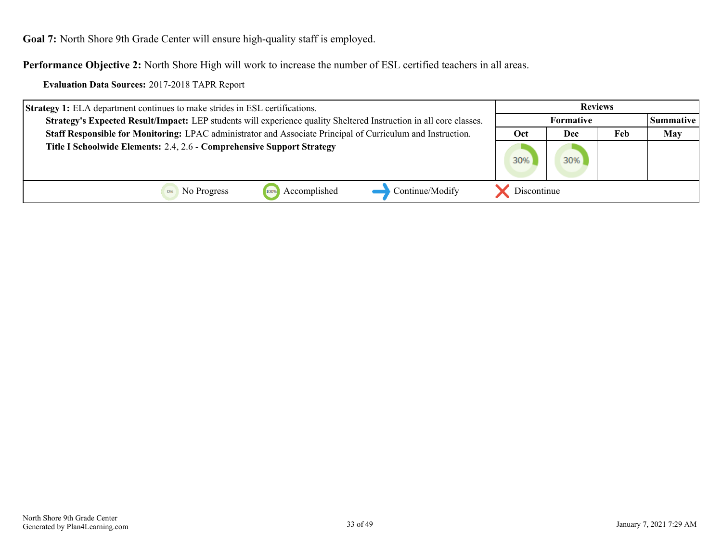**Goal 7:** North Shore 9th Grade Center will ensure high-quality staff is employed.

**Performance Objective 2:** North Shore High will work to increase the number of ESL certified teachers in all areas.

**Evaluation Data Sources:** 2017-2018 TAPR Report

| <b>Strategy 1:</b> ELA department continues to make strides in ESL certifications.                                 | <b>Reviews</b>   |     |     |            |
|--------------------------------------------------------------------------------------------------------------------|------------------|-----|-----|------------|
| Strategy's Expected Result/Impact: LEP students will experience quality Sheltered Instruction in all core classes. | <b>Formative</b> |     |     | Summative  |
| Staff Responsible for Monitoring: LPAC administrator and Associate Principal of Curriculum and Instruction.        | Oct              | Dec | Feb | <b>May</b> |
| Title I Schoolwide Elements: 2.4, 2.6 - Comprehensive Support Strategy                                             | 30%              | 30% |     |            |
| Continue/Modify<br>Accomplished<br>No Progress<br>100%                                                             | Discontinue      |     |     |            |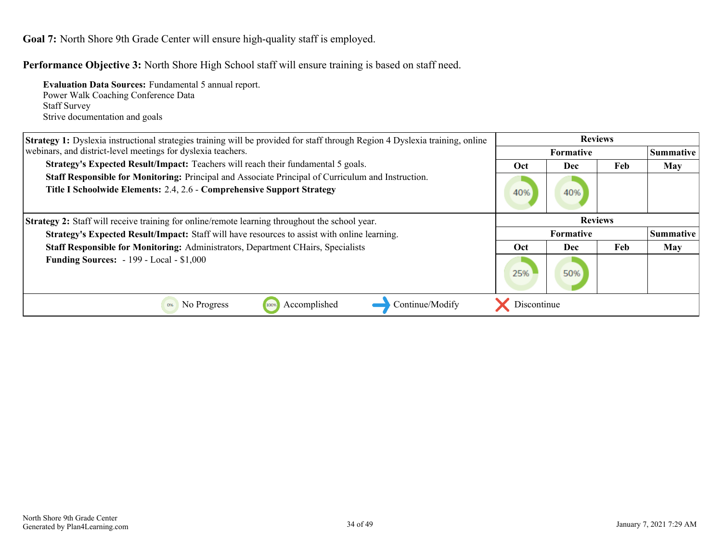**Goal 7:** North Shore 9th Grade Center will ensure high-quality staff is employed.

**Performance Objective 3:** North Shore High School staff will ensure training is based on staff need.

**Evaluation Data Sources:** Fundamental 5 annual report. Power Walk Coaching Conference Data Staff Survey Strive documentation and goals

| Strategy 1: Dyslexia instructional strategies training will be provided for staff through Region 4 Dyslexia training, online                                                 | <b>Reviews</b>   |                  |     |            |
|------------------------------------------------------------------------------------------------------------------------------------------------------------------------------|------------------|------------------|-----|------------|
| webinars, and district-level meetings for dyslexia teachers.                                                                                                                 |                  | <b>Formative</b> |     | Summative  |
| Strategy's Expected Result/Impact: Teachers will reach their fundamental 5 goals.                                                                                            | Oct              | Dec              | Feb | <b>May</b> |
| Staff Responsible for Monitoring: Principal and Associate Principal of Curriculum and Instruction.<br>Title I Schoolwide Elements: 2.4, 2.6 - Comprehensive Support Strategy | 40%              | 40%              |     |            |
| <b>Strategy 2:</b> Staff will receive training for online/remote learning throughout the school year.                                                                        | <b>Reviews</b>   |                  |     |            |
| <b>Strategy's Expected Result/Impact:</b> Staff will have resources to assist with online learning.                                                                          | <b>Formative</b> |                  |     | Summative  |
| <b>Staff Responsible for Monitoring: Administrators, Department CHairs, Specialists</b>                                                                                      | <b>Oct</b>       | Dec              | Feb | <b>May</b> |
| <b>Funding Sources: - 199 - Local - \$1,000</b>                                                                                                                              | 25%              | 50%              |     |            |
| Accomplished<br>Continue/Modify<br>No Progress<br>0%<br>100%                                                                                                                 | Discontinue      |                  |     |            |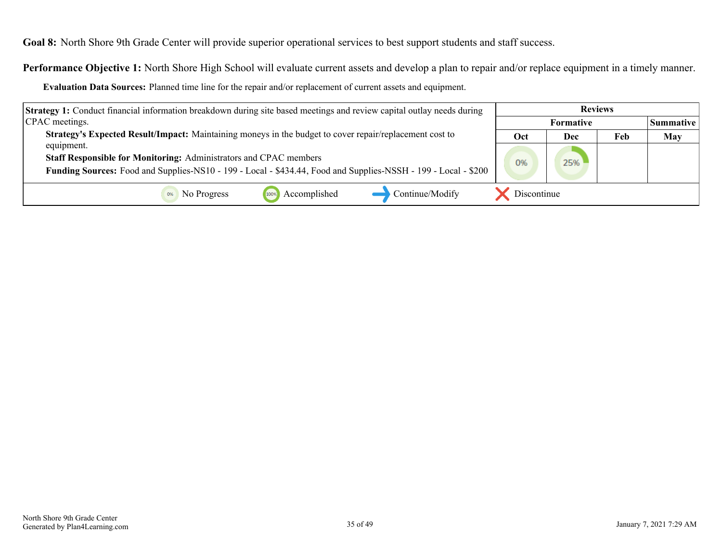<span id="page-34-0"></span>**Goal 8:** North Shore 9th Grade Center will provide superior operational services to best support students and staff success.

**Performance Objective 1:** North Shore High School will evaluate current assets and develop a plan to repair and/or replace equipment in a timely manner.

**Evaluation Data Sources:** Planned time line for the repair and/or replacement of current assets and equipment.

| <b>Strategy 1:</b> Conduct financial information breakdown during site based meetings and review capital outlay needs during | <b>Reviews</b>   |     |     |                  |
|------------------------------------------------------------------------------------------------------------------------------|------------------|-----|-----|------------------|
| CPAC meetings.                                                                                                               | <b>Formative</b> |     |     | <b>Summative</b> |
| Strategy's Expected Result/Impact: Maintaining moneys in the budget to cover repair/replacement cost to                      | Oct              | Dec | Feb | <b>May</b>       |
| equipment.                                                                                                                   |                  |     |     |                  |
| Staff Responsible for Monitoring: Administrators and CPAC members                                                            | 0%               | 25% |     |                  |
| Funding Sources: Food and Supplies-NS10 - 199 - Local - \$434.44, Food and Supplies-NSSH - 199 - Local - \$200               |                  |     |     |                  |
| Accomplished<br>Continue/Modify<br>No Progress<br>100%                                                                       | Discontinue      |     |     |                  |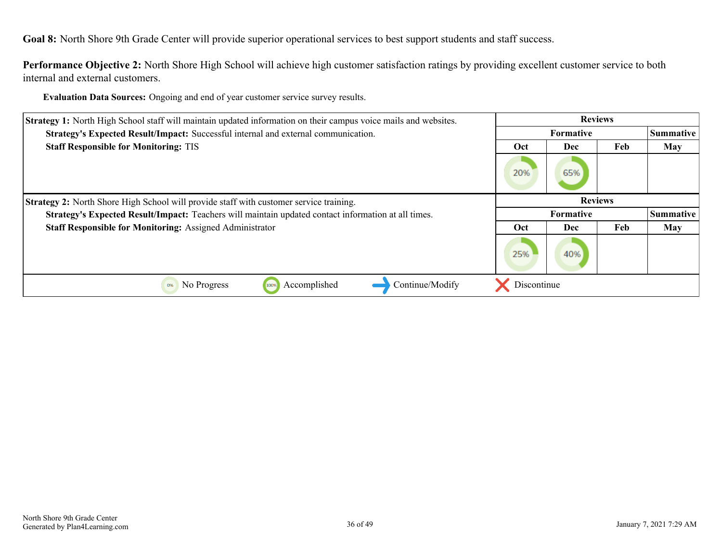**Goal 8:** North Shore 9th Grade Center will provide superior operational services to best support students and staff success.

**Performance Objective 2:** North Shore High School will achieve high customer satisfaction ratings by providing excellent customer service to both internal and external customers.

**Evaluation Data Sources:** Ongoing and end of year customer service survey results.

| <b>Strategy 1:</b> North High School staff will maintain updated information on their campus voice mails and websites. |                  | <b>Reviews</b>   |     |                  |
|------------------------------------------------------------------------------------------------------------------------|------------------|------------------|-----|------------------|
| Strategy's Expected Result/Impact: Successful internal and external communication.                                     |                  | <b>Formative</b> |     | Summative        |
| <b>Staff Responsible for Monitoring: TIS</b>                                                                           | Oct              | Dec              | Feb | <b>May</b>       |
|                                                                                                                        | 20%              | 65%              |     |                  |
| <b>Strategy 2:</b> North Shore High School will provide staff with customer service training.                          | <b>Reviews</b>   |                  |     |                  |
| Strategy's Expected Result/Impact: Teachers will maintain updated contact information at all times.                    | <b>Formative</b> |                  |     | <b>Summative</b> |
| <b>Staff Responsible for Monitoring: Assigned Administrator</b>                                                        | Oct              | Dec              | Feb | <b>May</b>       |
|                                                                                                                        | 25%              | 40%              |     |                  |
| Accomplished<br>Continue/Modify<br>No Progress<br>0%<br>100%                                                           | Discontinue      |                  |     |                  |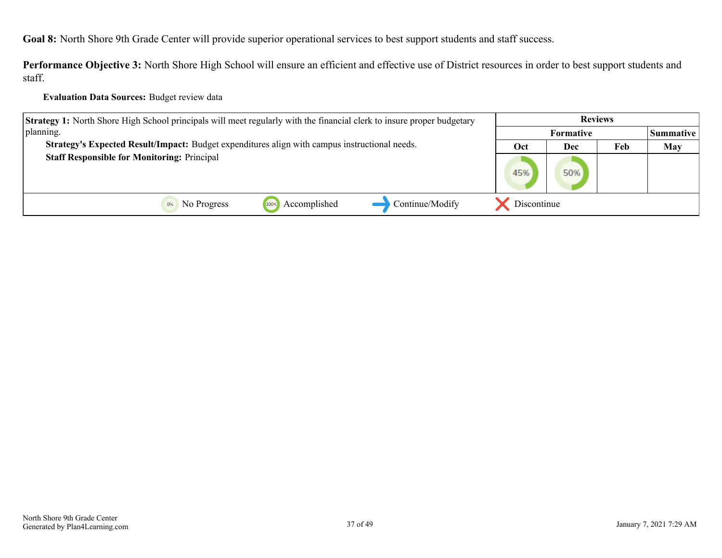**Goal 8:** North Shore 9th Grade Center will provide superior operational services to best support students and staff success.

**Performance Objective 3:** North Shore High School will ensure an efficient and effective use of District resources in order to best support students and staff.

#### **Evaluation Data Sources:** Budget review data

| <b>Strategy 1:</b> North Shore High School principals will meet regularly with the financial clerk to insure proper budgetary | <b>Reviews</b> |                  |     |                  |
|-------------------------------------------------------------------------------------------------------------------------------|----------------|------------------|-----|------------------|
| planning.                                                                                                                     |                | <b>Formative</b> |     | <b>Summative</b> |
| Strategy's Expected Result/Impact: Budget expenditures align with campus instructional needs.                                 | Oct            | Dec              | Feb | May              |
| <b>Staff Responsible for Monitoring: Principal</b>                                                                            | 45%            | 50%              |     |                  |
| Continue/Modify<br>Accomplished<br>No Progress<br>100%                                                                        | Discontinue    |                  |     |                  |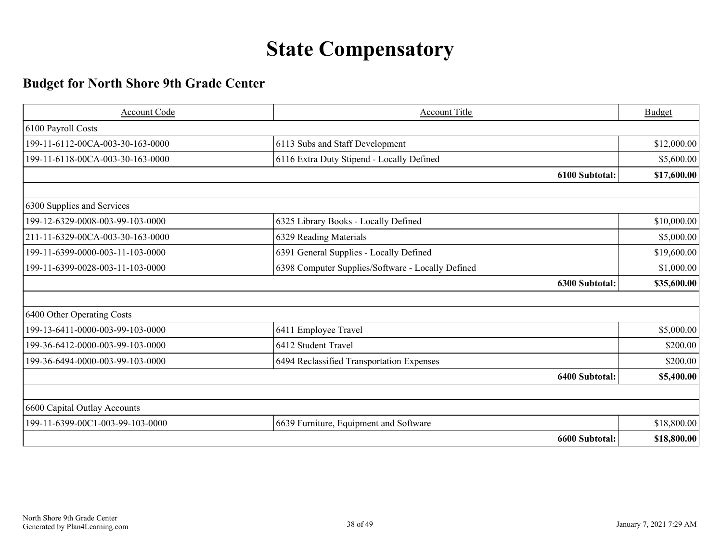# **State Compensatory**

## <span id="page-37-0"></span>**Budget for North Shore 9th Grade Center**

| Account Code                     | Account Title                                     | <b>Budget</b> |
|----------------------------------|---------------------------------------------------|---------------|
| 6100 Payroll Costs               |                                                   |               |
| 199-11-6112-00CA-003-30-163-0000 | 6113 Subs and Staff Development                   | \$12,000.00   |
| 199-11-6118-00CA-003-30-163-0000 | 6116 Extra Duty Stipend - Locally Defined         | \$5,600.00    |
|                                  | 6100 Subtotal:                                    | \$17,600.00   |
|                                  |                                                   |               |
| 6300 Supplies and Services       |                                                   |               |
| 199-12-6329-0008-003-99-103-0000 | 6325 Library Books - Locally Defined              | \$10,000.00   |
| 211-11-6329-00CA-003-30-163-0000 | 6329 Reading Materials                            | \$5,000.00    |
| 199-11-6399-0000-003-11-103-0000 | 6391 General Supplies - Locally Defined           | \$19,600.00   |
| 199-11-6399-0028-003-11-103-0000 | 6398 Computer Supplies/Software - Locally Defined | \$1,000.00    |
|                                  | 6300 Subtotal:                                    | \$35,600.00   |
|                                  |                                                   |               |
| 6400 Other Operating Costs       |                                                   |               |
| 199-13-6411-0000-003-99-103-0000 | 6411 Employee Travel                              | \$5,000.00    |
| 199-36-6412-0000-003-99-103-0000 | 6412 Student Travel                               | \$200.00      |
| 199-36-6494-0000-003-99-103-0000 | 6494 Reclassified Transportation Expenses         | \$200.00      |
|                                  | 6400 Subtotal:                                    | \$5,400.00    |
|                                  |                                                   |               |
| 6600 Capital Outlay Accounts     |                                                   |               |
| 199-11-6399-00C1-003-99-103-0000 | 6639 Furniture, Equipment and Software            | \$18,800.00   |
|                                  | 6600 Subtotal:                                    | \$18,800.00   |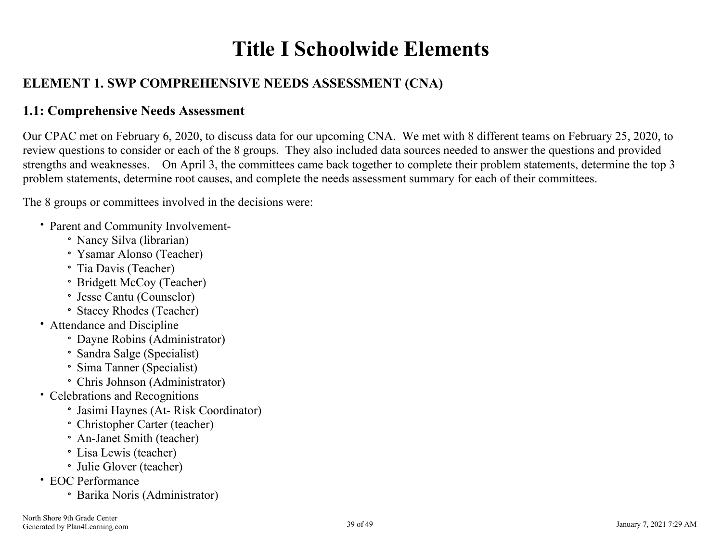# **Title I Schoolwide Elements**

## <span id="page-38-0"></span>**ELEMENT 1. SWP COMPREHENSIVE NEEDS ASSESSMENT (CNA)**

### **1.1: Comprehensive Needs Assessment**

Our CPAC met on February 6, 2020, to discuss data for our upcoming CNA. We met with 8 different teams on February 25, 2020, to review questions to consider or each of the 8 groups. They also included data sources needed to answer the questions and provided strengths and weaknesses. On April 3, the committees came back together to complete their problem statements, determine the top 3 problem statements, determine root causes, and complete the needs assessment summary for each of their committees.

The 8 groups or committees involved in the decisions were:

- Parent and Community Involvement-
	- Nancy Silva (librarian)
	- Ysamar Alonso (Teacher)
	- Tia Davis (Teacher)
	- Bridgett McCoy (Teacher)
	- Jesse Cantu (Counselor)
	- Stacey Rhodes (Teacher)
- Attendance and Discipline
	- Dayne Robins (Administrator)
	- Sandra Salge (Specialist)
	- Sima Tanner (Specialist)
	- Chris Johnson (Administrator)
- Celebrations and Recognitions
	- Jasimi Haynes (At- Risk Coordinator)
	- Christopher Carter (teacher)
	- An-Janet Smith (teacher)
	- Lisa Lewis (teacher)
	- Julie Glover (teacher)
- EOC Performance
	- Barika Noris (Administrator)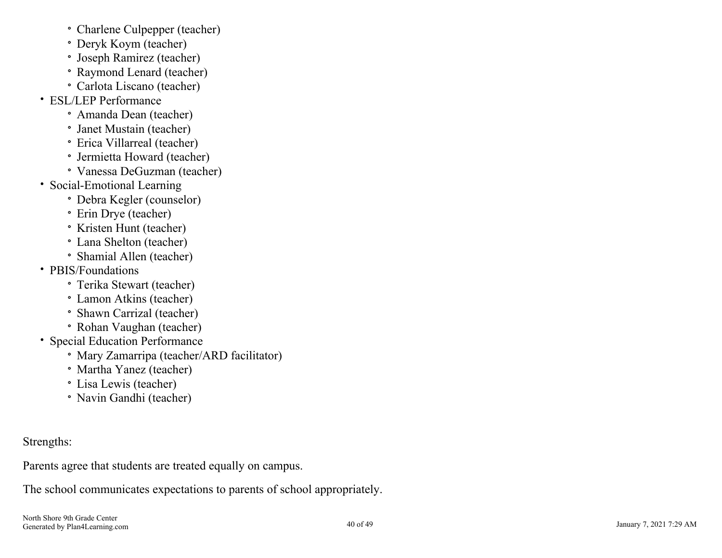- Charlene Culpepper (teacher)
- Deryk Koym (teacher)
- Joseph Ramirez (teacher)
- Raymond Lenard (teacher)
- Carlota Liscano (teacher)
- ESL/LEP Performance
	- Amanda Dean (teacher)
	- Janet Mustain (teacher)
	- Erica Villarreal (teacher)
	- Jermietta Howard (teacher)
	- Vanessa DeGuzman (teacher)
- Social-Emotional Learning
	- Debra Kegler (counselor)
	- Erin Drye (teacher)
	- Kristen Hunt (teacher)
	- Lana Shelton (teacher)
	- Shamial Allen (teacher)
- PBIS/Foundations
	- Terika Stewart (teacher)
	- Lamon Atkins (teacher)
	- Shawn Carrizal (teacher)
	- Rohan Vaughan (teacher)
- Special Education Performance
	- Mary Zamarripa (teacher/ARD facilitator)
	- Martha Yanez (teacher)
	- Lisa Lewis (teacher)
	- Navin Gandhi (teacher)

Strengths:

Parents agree that students are treated equally on campus.

The school communicates expectations to parents of school appropriately.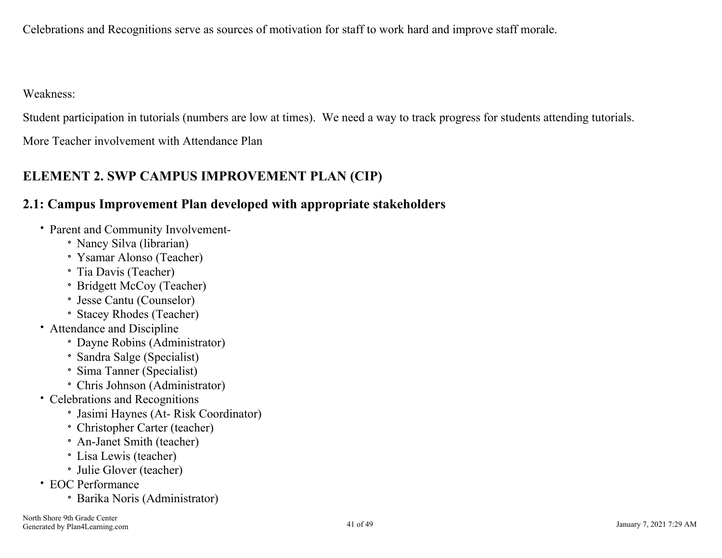<span id="page-40-0"></span>Celebrations and Recognitions serve as sources of motivation for staff to work hard and improve staff morale.

Weakness:

Student participation in tutorials (numbers are low at times). We need a way to track progress for students attending tutorials.

More Teacher involvement with Attendance Plan

## **ELEMENT 2. SWP CAMPUS IMPROVEMENT PLAN (CIP)**

### **2.1: Campus Improvement Plan developed with appropriate stakeholders**

- Parent and Community Involvement-
	- Nancy Silva (librarian)
	- Ysamar Alonso (Teacher)
	- Tia Davis (Teacher)
	- Bridgett McCoy (Teacher)
	- Jesse Cantu (Counselor)
	- Stacey Rhodes (Teacher)
- Attendance and Discipline
	- Dayne Robins (Administrator)
	- Sandra Salge (Specialist)
	- Sima Tanner (Specialist)
	- Chris Johnson (Administrator)
- Celebrations and Recognitions
	- Jasimi Haynes (At- Risk Coordinator)
	- Christopher Carter (teacher)
	- An-Janet Smith (teacher)
	- Lisa Lewis (teacher)
	- Julie Glover (teacher)
- EOC Performance
	- Barika Noris (Administrator)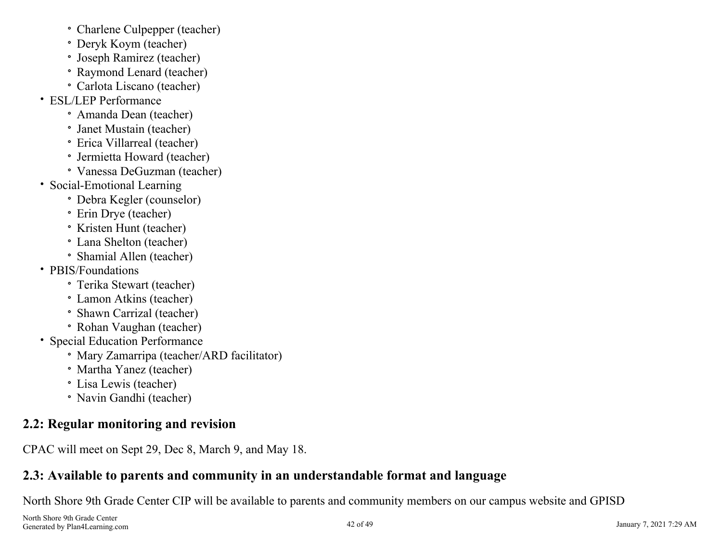- <span id="page-41-0"></span>Charlene Culpepper (teacher)
- Deryk Koym (teacher)
- Joseph Ramirez (teacher)
- Raymond Lenard (teacher)
- Carlota Liscano (teacher)
- ESL/LEP Performance
	- Amanda Dean (teacher)
	- Janet Mustain (teacher)
	- Erica Villarreal (teacher)
	- Jermietta Howard (teacher)
	- Vanessa DeGuzman (teacher)
- Social-Emotional Learning
	- Debra Kegler (counselor)
	- Erin Drye (teacher)
	- Kristen Hunt (teacher)
	- Lana Shelton (teacher)
	- Shamial Allen (teacher)
- PBIS/Foundations
	- Terika Stewart (teacher)
	- Lamon Atkins (teacher)
	- Shawn Carrizal (teacher)
	- Rohan Vaughan (teacher)
- Special Education Performance
	- Mary Zamarripa (teacher/ARD facilitator)
	- Martha Yanez (teacher)
	- Lisa Lewis (teacher)
	- Navin Gandhi (teacher)

## **2.2: Regular monitoring and revision**

CPAC will meet on Sept 29, Dec 8, March 9, and May 18.

## **2.3: Available to parents and community in an understandable format and language**

North Shore 9th Grade Center CIP will be available to parents and community members on our campus website and GPISD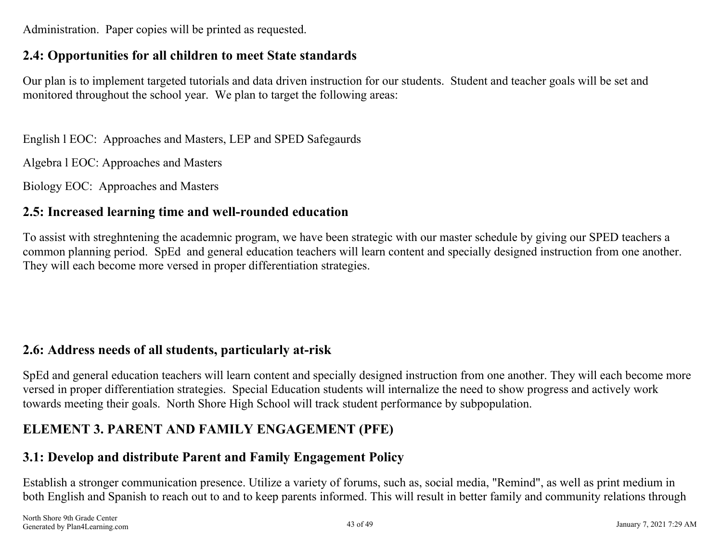<span id="page-42-0"></span>Administration. Paper copies will be printed as requested.

### **2.4: Opportunities for all children to meet State standards**

Our plan is to implement targeted tutorials and data driven instruction for our students. Student and teacher goals will be set and monitored throughout the school year. We plan to target the following areas:

English l EOC: Approaches and Masters, LEP and SPED Safegaurds

Algebra l EOC: Approaches and Masters

Biology EOC: Approaches and Masters

### **2.5: Increased learning time and well-rounded education**

To assist with streghntening the academnic program, we have been strategic with our master schedule by giving our SPED teachers a common planning period. SpEd and general education teachers will learn content and specially designed instruction from one another. They will each become more versed in proper differentiation strategies.

### **2.6: Address needs of all students, particularly at-risk**

SpEd and general education teachers will learn content and specially designed instruction from one another. They will each become more versed in proper differentiation strategies. Special Education students will internalize the need to show progress and actively work towards meeting their goals. North Shore High School will track student performance by subpopulation.

### **ELEMENT 3. PARENT AND FAMILY ENGAGEMENT (PFE)**

### **3.1: Develop and distribute Parent and Family Engagement Policy**

Establish a stronger communication presence. Utilize a variety of forums, such as, social media, "Remind", as well as print medium in both English and Spanish to reach out to and to keep parents informed. This will result in better family and community relations through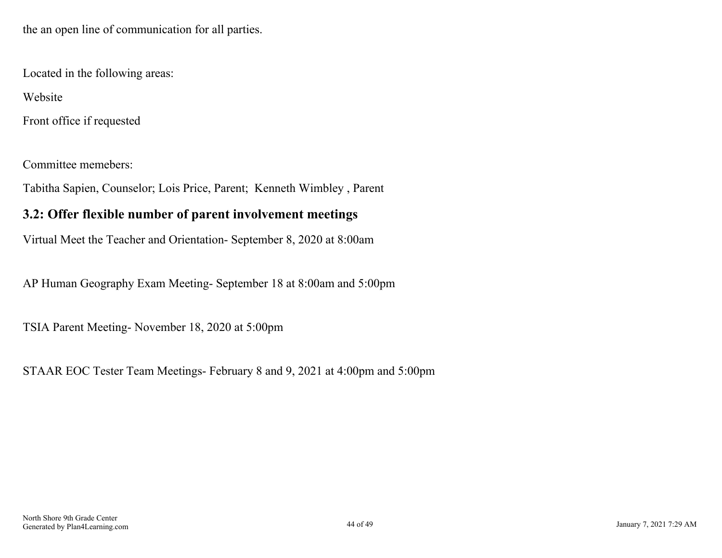<span id="page-43-0"></span>the an open line of communication for all parties.

Located in the following areas:

Website

Front office if requested

Committee memebers:

Tabitha Sapien, Counselor; Lois Price, Parent; Kenneth Wimbley , Parent

### **3.2: Offer flexible number of parent involvement meetings**

Virtual Meet the Teacher and Orientation- September 8, 2020 at 8:00am

AP Human Geography Exam Meeting- September 18 at 8:00am and 5:00pm

TSIA Parent Meeting- November 18, 2020 at 5:00pm

STAAR EOC Tester Team Meetings- February 8 and 9, 2021 at 4:00pm and 5:00pm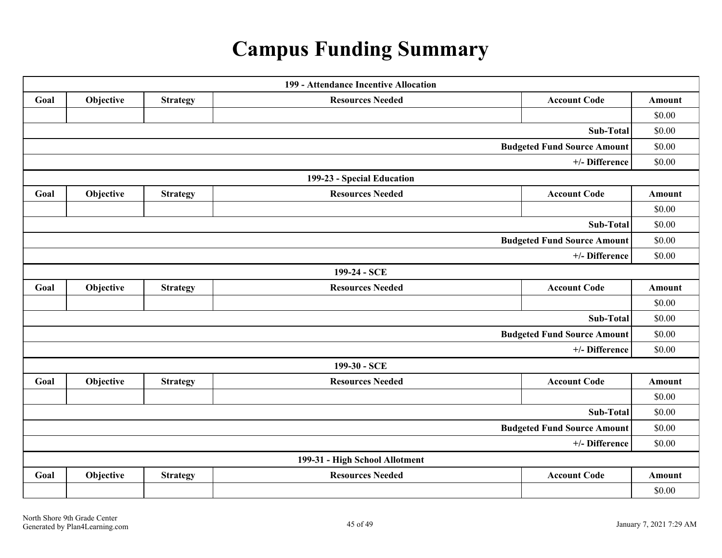# **Campus Funding Summary**

<span id="page-44-0"></span>

|      |           |                 | 199 - Attendance Incentive Allocation |                                    |               |
|------|-----------|-----------------|---------------------------------------|------------------------------------|---------------|
| Goal | Objective | <b>Strategy</b> | <b>Resources Needed</b>               | <b>Account Code</b>                | <b>Amount</b> |
|      |           |                 |                                       |                                    | \$0.00        |
|      |           |                 |                                       | Sub-Total                          | \$0.00        |
|      |           |                 |                                       | <b>Budgeted Fund Source Amount</b> | \$0.00        |
|      |           |                 |                                       | +/- Difference                     | \$0.00        |
|      |           |                 | 199-23 - Special Education            |                                    |               |
| Goal | Objective | <b>Strategy</b> | <b>Resources Needed</b>               | <b>Account Code</b>                | <b>Amount</b> |
|      |           |                 |                                       |                                    | \$0.00        |
|      |           |                 |                                       | Sub-Total                          | \$0.00        |
|      |           |                 |                                       | <b>Budgeted Fund Source Amount</b> | \$0.00        |
|      |           |                 |                                       | +/- Difference                     | \$0.00        |
|      |           |                 | 199-24 - SCE                          |                                    |               |
| Goal | Objective | <b>Strategy</b> | <b>Resources Needed</b>               | <b>Account Code</b>                | <b>Amount</b> |
|      |           |                 |                                       |                                    | \$0.00        |
|      |           |                 |                                       | Sub-Total                          | \$0.00        |
|      |           |                 |                                       | <b>Budgeted Fund Source Amount</b> | \$0.00        |
|      |           |                 |                                       | +/- Difference                     | \$0.00        |
|      |           |                 | 199-30 - SCE                          |                                    |               |
| Goal | Objective | <b>Strategy</b> | <b>Resources Needed</b>               | <b>Account Code</b>                | Amount        |
|      |           |                 |                                       |                                    | \$0.00        |
|      |           |                 |                                       | <b>Sub-Total</b>                   | \$0.00        |
|      |           |                 |                                       | <b>Budgeted Fund Source Amount</b> | \$0.00        |
|      |           |                 |                                       | +/- Difference                     | \$0.00        |
|      |           |                 | 199-31 - High School Allotment        |                                    |               |
| Goal | Objective | <b>Strategy</b> | <b>Resources Needed</b>               | <b>Account Code</b>                | <b>Amount</b> |
|      |           |                 |                                       |                                    | \$0.00        |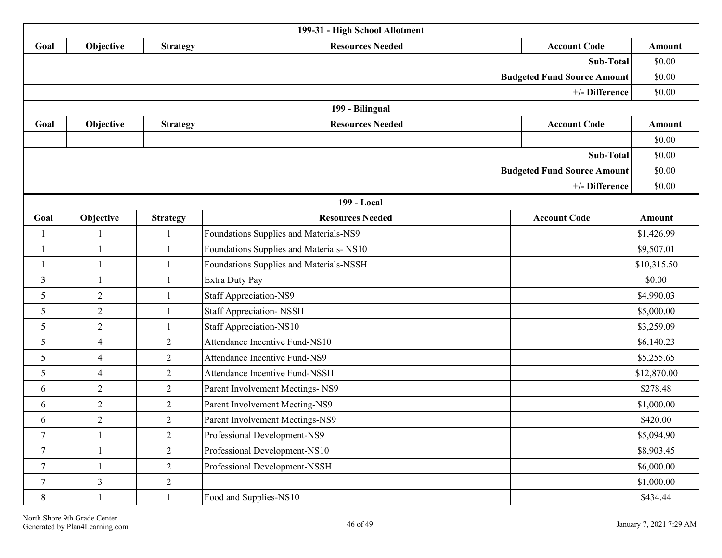| 199-31 - High School Allotment |                |                 |                                          |                                    |               |  |  |
|--------------------------------|----------------|-----------------|------------------------------------------|------------------------------------|---------------|--|--|
| Goal                           | Objective      | <b>Strategy</b> | <b>Resources Needed</b>                  | <b>Account Code</b>                | Amount        |  |  |
|                                |                |                 |                                          | Sub-Total                          | \$0.00        |  |  |
|                                |                |                 |                                          | <b>Budgeted Fund Source Amount</b> | \$0.00        |  |  |
|                                |                |                 |                                          | +/- Difference                     | \$0.00        |  |  |
|                                |                |                 | 199 - Bilingual                          |                                    |               |  |  |
| Goal                           | Objective      | <b>Strategy</b> | <b>Resources Needed</b>                  | <b>Account Code</b>                | <b>Amount</b> |  |  |
|                                |                |                 |                                          |                                    | \$0.00        |  |  |
| Sub-Total                      |                |                 |                                          |                                    |               |  |  |
|                                |                |                 |                                          | <b>Budgeted Fund Source Amount</b> | \$0.00        |  |  |
|                                |                |                 |                                          | +/- Difference                     | \$0.00        |  |  |
|                                |                |                 | 199 - Local                              |                                    |               |  |  |
| Goal                           | Objective      | <b>Strategy</b> | <b>Resources Needed</b>                  | <b>Account Code</b>                | <b>Amount</b> |  |  |
| 1                              | $\mathbf{1}$   | $\mathbf{1}$    | Foundations Supplies and Materials-NS9   |                                    | \$1,426.99    |  |  |
| 1                              | $\mathbf{1}$   | $\mathbf{1}$    | Foundations Supplies and Materials- NS10 |                                    | \$9,507.01    |  |  |
| 1                              | $\mathbf{1}$   | $\mathbf{1}$    | Foundations Supplies and Materials-NSSH  |                                    | \$10,315.50   |  |  |
| $\overline{3}$                 | $\mathbf{1}$   | $\mathbf{1}$    | Extra Duty Pay                           |                                    | \$0.00        |  |  |
| 5                              | $\overline{2}$ | $\mathbf{1}$    | <b>Staff Appreciation-NS9</b>            |                                    | \$4,990.03    |  |  |
| 5                              | $\overline{2}$ | $\mathbf{1}$    | <b>Staff Appreciation-NSSH</b>           |                                    | \$5,000.00    |  |  |
| 5                              | $\overline{2}$ | $\mathbf{1}$    | Staff Appreciation-NS10                  |                                    | \$3,259.09    |  |  |
| 5                              | $\overline{4}$ | $\overline{2}$  | <b>Attendance Incentive Fund-NS10</b>    |                                    | \$6,140.23    |  |  |
| 5                              | $\overline{4}$ | $\overline{c}$  | Attendance Incentive Fund-NS9            |                                    | \$5,255.65    |  |  |
| 5                              | $\overline{4}$ | $\overline{2}$  | Attendance Incentive Fund-NSSH           |                                    | \$12,870.00   |  |  |
| 6                              | $\overline{2}$ | $\overline{2}$  | Parent Involvement Meetings- NS9         |                                    | \$278.48      |  |  |
| 6                              | $\overline{2}$ | $\mathfrak{2}$  | Parent Involvement Meeting-NS9           |                                    | \$1,000.00    |  |  |
| 6                              | $\overline{2}$ | $\overline{c}$  | Parent Involvement Meetings-NS9          |                                    | \$420.00      |  |  |
| $\overline{7}$                 | -1             | $\overline{2}$  | Professional Development-NS9             |                                    | \$5,094.90    |  |  |
| $\tau$                         | $\mathbf{1}$   | $\overline{2}$  | Professional Development-NS10            |                                    | \$8,903.45    |  |  |
| $\overline{7}$                 | $\mathbf{1}$   | $\overline{2}$  | Professional Development-NSSH            |                                    | \$6,000.00    |  |  |
| $\tau$                         | $\overline{3}$ | $\overline{2}$  |                                          |                                    | \$1,000.00    |  |  |
| $\,8\,$                        | $\mathbf{1}$   | $\mathbf{1}$    | Food and Supplies-NS10                   |                                    | \$434.44      |  |  |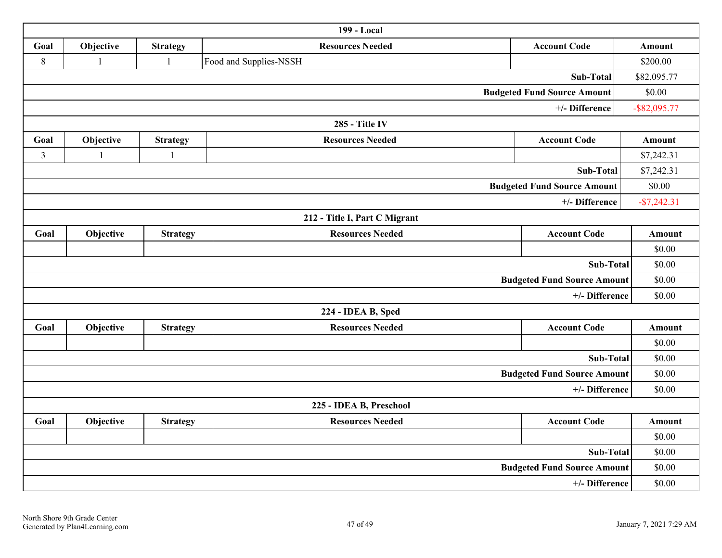|                |              |                 | 199 - Local                   |                                    |                 |
|----------------|--------------|-----------------|-------------------------------|------------------------------------|-----------------|
| Goal           | Objective    | <b>Strategy</b> | <b>Resources Needed</b>       | <b>Account Code</b>                | <b>Amount</b>   |
| $\,8\,$        | $\mathbf{1}$ | $\mathbf{1}$    | Food and Supplies-NSSH        |                                    | \$200.00        |
|                |              |                 |                               | Sub-Total                          | \$82,095.77     |
|                |              |                 |                               | <b>Budgeted Fund Source Amount</b> | \$0.00          |
|                |              |                 |                               | +/- Difference                     | $-$ \$82,095.77 |
|                |              |                 | 285 - Title IV                |                                    |                 |
| Goal           | Objective    | <b>Strategy</b> | <b>Resources Needed</b>       | <b>Account Code</b>                | Amount          |
| $\overline{3}$ |              | $\mathbf{1}$    |                               |                                    | \$7,242.31      |
|                |              |                 |                               | Sub-Total                          | \$7,242.31      |
|                |              |                 |                               | <b>Budgeted Fund Source Amount</b> | \$0.00          |
|                |              |                 |                               | +/- Difference                     | $-$7,242.31$    |
|                |              |                 | 212 - Title I, Part C Migrant |                                    |                 |
| Goal           | Objective    | <b>Strategy</b> | <b>Resources Needed</b>       | <b>Account Code</b>                | <b>Amount</b>   |
|                |              |                 |                               |                                    | \$0.00          |
|                |              |                 |                               | Sub-Total                          | \$0.00          |
|                |              |                 |                               | <b>Budgeted Fund Source Amount</b> | \$0.00          |
|                |              |                 |                               | +/- Difference                     | \$0.00          |
|                |              |                 | 224 - IDEA B, Sped            |                                    |                 |
| Goal           | Objective    | <b>Strategy</b> | <b>Resources Needed</b>       | <b>Account Code</b>                | Amount          |
|                |              |                 |                               |                                    | \$0.00          |
|                |              |                 |                               | Sub-Total                          | \$0.00          |
|                |              |                 |                               | <b>Budgeted Fund Source Amount</b> | \$0.00          |
|                |              |                 |                               | +/- Difference                     | \$0.00          |
|                |              |                 | 225 - IDEA B, Preschool       |                                    |                 |
| Goal           | Objective    | <b>Strategy</b> | <b>Resources Needed</b>       | <b>Account Code</b>                | <b>Amount</b>   |
|                |              |                 |                               |                                    | \$0.00          |
|                |              |                 |                               | Sub-Total                          | \$0.00          |
|                |              |                 |                               | <b>Budgeted Fund Source Amount</b> | \$0.00          |
| +/- Difference |              |                 |                               |                                    | \$0.00          |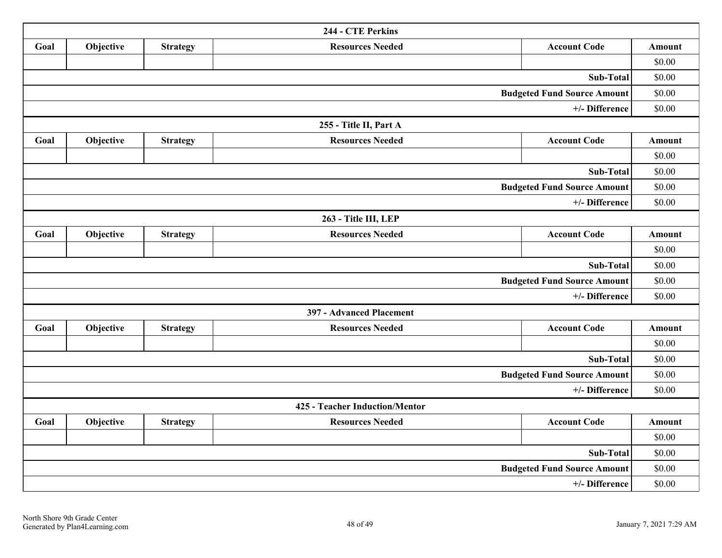| 244 - CTE Perkins                  |           |                 |                                |                                    |               |  |
|------------------------------------|-----------|-----------------|--------------------------------|------------------------------------|---------------|--|
| Goal                               | Objective | <b>Strategy</b> | <b>Resources Needed</b>        | <b>Account Code</b>                | Amount        |  |
|                                    |           |                 |                                |                                    | \$0.00        |  |
|                                    |           |                 |                                | Sub-Total                          | \$0.00        |  |
|                                    |           |                 |                                | <b>Budgeted Fund Source Amount</b> | \$0.00        |  |
|                                    |           |                 |                                | +/- Difference                     | \$0.00        |  |
|                                    |           |                 | 255 - Title II, Part A         |                                    |               |  |
| Goal                               | Objective | <b>Strategy</b> | <b>Resources Needed</b>        | <b>Account Code</b>                | Amount        |  |
|                                    |           |                 |                                |                                    | \$0.00        |  |
|                                    |           |                 |                                | Sub-Total                          | \$0.00        |  |
| <b>Budgeted Fund Source Amount</b> |           |                 |                                |                                    | \$0.00        |  |
| +/- Difference                     |           |                 |                                |                                    | \$0.00        |  |
|                                    |           |                 | 263 - Title III, LEP           |                                    |               |  |
| Goal                               | Objective | <b>Strategy</b> | <b>Resources Needed</b>        | <b>Account Code</b>                | Amount        |  |
|                                    |           |                 |                                |                                    | \$0.00        |  |
|                                    |           |                 |                                | Sub-Total                          | \$0.00        |  |
|                                    |           |                 |                                | <b>Budgeted Fund Source Amount</b> | \$0.00        |  |
|                                    |           |                 |                                | +/- Difference                     | \$0.00        |  |
|                                    |           |                 | 397 - Advanced Placement       |                                    |               |  |
| Goal                               | Objective | <b>Strategy</b> | <b>Resources Needed</b>        | <b>Account Code</b>                | Amount        |  |
|                                    |           |                 |                                |                                    | \$0.00        |  |
|                                    |           |                 |                                | Sub-Total                          | \$0.00        |  |
|                                    |           |                 |                                | <b>Budgeted Fund Source Amount</b> | \$0.00        |  |
|                                    |           |                 |                                | +/- Difference                     | \$0.00        |  |
|                                    |           |                 | 425 - Teacher Induction/Mentor |                                    |               |  |
| Goal                               | Objective | <b>Strategy</b> | <b>Resources Needed</b>        | <b>Account Code</b>                | <b>Amount</b> |  |
|                                    |           |                 |                                |                                    | \$0.00        |  |
|                                    |           |                 |                                | Sub-Total                          | \$0.00        |  |
|                                    |           |                 |                                | <b>Budgeted Fund Source Amount</b> | \$0.00        |  |
| +/- Difference                     |           |                 |                                |                                    |               |  |